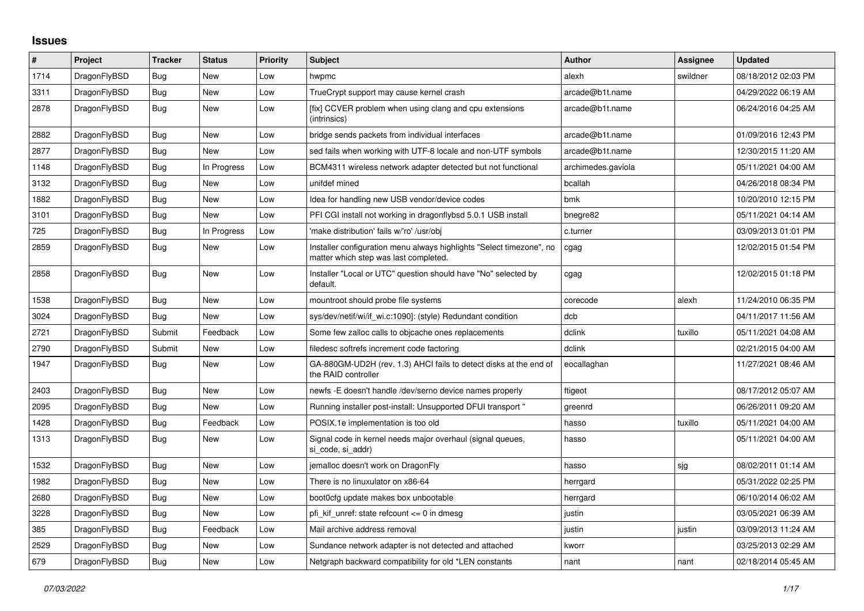## **Issues**

| #    | Project      | <b>Tracker</b> | <b>Status</b> | <b>Priority</b> | <b>Subject</b>                                                                                                | <b>Author</b>      | Assignee | <b>Updated</b>      |
|------|--------------|----------------|---------------|-----------------|---------------------------------------------------------------------------------------------------------------|--------------------|----------|---------------------|
| 1714 | DragonFlyBSD | Bug            | <b>New</b>    | Low             | hwpmc                                                                                                         | alexh              | swildner | 08/18/2012 02:03 PM |
| 3311 | DragonFlyBSD | <b>Bug</b>     | <b>New</b>    | Low             | TrueCrypt support may cause kernel crash                                                                      | arcade@b1t.name    |          | 04/29/2022 06:19 AM |
| 2878 | DragonFlyBSD | Bug            | <b>New</b>    | Low             | [fix] CCVER problem when using clang and cpu extensions<br>(intrinsics)                                       | arcade@b1t.name    |          | 06/24/2016 04:25 AM |
| 2882 | DragonFlyBSD | Bug            | New           | Low             | bridge sends packets from individual interfaces                                                               | arcade@b1t.name    |          | 01/09/2016 12:43 PM |
| 2877 | DragonFlyBSD | Bug            | <b>New</b>    | Low             | sed fails when working with UTF-8 locale and non-UTF symbols                                                  | arcade@b1t.name    |          | 12/30/2015 11:20 AM |
| 1148 | DragonFlyBSD | Bug            | In Progress   | Low             | BCM4311 wireless network adapter detected but not functional                                                  | archimedes.gaviola |          | 05/11/2021 04:00 AM |
| 3132 | DragonFlyBSD | Bug            | <b>New</b>    | Low             | unifdef mined                                                                                                 | bcallah            |          | 04/26/2018 08:34 PM |
| 1882 | DragonFlyBSD | <b>Bug</b>     | <b>New</b>    | Low             | Idea for handling new USB vendor/device codes                                                                 | bmk                |          | 10/20/2010 12:15 PM |
| 3101 | DragonFlyBSD | <b>Bug</b>     | New           | Low             | PFI CGI install not working in dragonflybsd 5.0.1 USB install                                                 | bnegre82           |          | 05/11/2021 04:14 AM |
| 725  | DragonFlyBSD | Bug            | In Progress   | Low             | 'make distribution' fails w/'ro' /usr/obj                                                                     | c.turner           |          | 03/09/2013 01:01 PM |
| 2859 | DragonFlyBSD | Bug            | <b>New</b>    | Low             | Installer configuration menu always highlights "Select timezone", no<br>matter which step was last completed. | cgag               |          | 12/02/2015 01:54 PM |
| 2858 | DragonFlyBSD | Bug            | <b>New</b>    | Low             | Installer "Local or UTC" question should have "No" selected by<br>default.                                    | cgag               |          | 12/02/2015 01:18 PM |
| 1538 | DragonFlyBSD | <b>Bug</b>     | <b>New</b>    | Low             | mountroot should probe file systems                                                                           | corecode           | alexh    | 11/24/2010 06:35 PM |
| 3024 | DragonFlyBSD | Bug            | <b>New</b>    | Low             | sys/dev/netif/wi/if_wi.c:1090]: (style) Redundant condition                                                   | dcb                |          | 04/11/2017 11:56 AM |
| 2721 | DragonFlyBSD | Submit         | Feedback      | Low             | Some few zalloc calls to objcache ones replacements                                                           | dclink             | tuxillo  | 05/11/2021 04:08 AM |
| 2790 | DragonFlyBSD | Submit         | New           | Low             | filedesc softrefs increment code factoring                                                                    | dclink             |          | 02/21/2015 04:00 AM |
| 1947 | DragonFlyBSD | <b>Bug</b>     | <b>New</b>    | Low             | GA-880GM-UD2H (rev. 1.3) AHCI fails to detect disks at the end of<br>the RAID controller                      | eocallaghan        |          | 11/27/2021 08:46 AM |
| 2403 | DragonFlyBSD | <b>Bug</b>     | <b>New</b>    | Low             | newfs -E doesn't handle /dev/serno device names properly                                                      | ftigeot            |          | 08/17/2012 05:07 AM |
| 2095 | DragonFlyBSD | Bug            | <b>New</b>    | Low             | Running installer post-install: Unsupported DFUI transport "                                                  | greenrd            |          | 06/26/2011 09:20 AM |
| 1428 | DragonFlyBSD | <b>Bug</b>     | Feedback      | Low             | POSIX.1e implementation is too old                                                                            | hasso              | tuxillo  | 05/11/2021 04:00 AM |
| 1313 | DragonFlyBSD | Bug            | New           | Low             | Signal code in kernel needs major overhaul (signal queues,<br>si_code, si_addr)                               | hasso              |          | 05/11/2021 04:00 AM |
| 1532 | DragonFlyBSD | Bug            | <b>New</b>    | Low             | jemalloc doesn't work on DragonFly                                                                            | hasso              | sjg      | 08/02/2011 01:14 AM |
| 1982 | DragonFlyBSD | <b>Bug</b>     | <b>New</b>    | Low             | There is no linuxulator on x86-64                                                                             | herrgard           |          | 05/31/2022 02:25 PM |
| 2680 | DragonFlyBSD | <b>Bug</b>     | <b>New</b>    | Low             | boot0cfg update makes box unbootable                                                                          | herrgard           |          | 06/10/2014 06:02 AM |
| 3228 | DragonFlyBSD | Bug            | New           | Low             | pfi_kif_unref: state refcount <= 0 in dmesg                                                                   | justin             |          | 03/05/2021 06:39 AM |
| 385  | DragonFlyBSD | Bug            | Feedback      | Low             | Mail archive address removal                                                                                  | justin             | justin   | 03/09/2013 11:24 AM |
| 2529 | DragonFlyBSD | Bug            | <b>New</b>    | Low             | Sundance network adapter is not detected and attached                                                         | kworr              |          | 03/25/2013 02:29 AM |
| 679  | DragonFlyBSD | Bug            | <b>New</b>    | Low             | Netgraph backward compatibility for old *LEN constants                                                        | nant               | nant     | 02/18/2014 05:45 AM |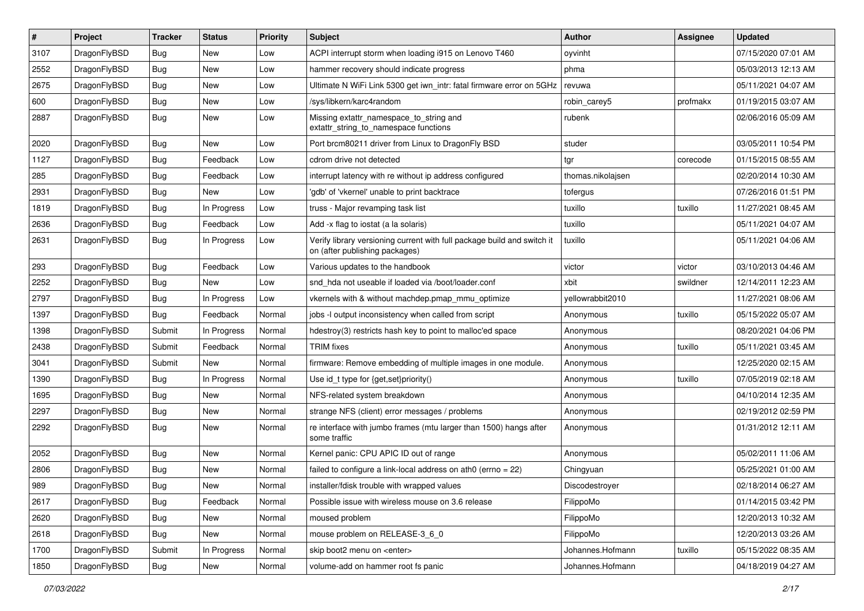| $\sharp$ | Project      | <b>Tracker</b> | <b>Status</b> | <b>Priority</b> | Subject                                                                                                   | Author            | Assignee | <b>Updated</b>      |
|----------|--------------|----------------|---------------|-----------------|-----------------------------------------------------------------------------------------------------------|-------------------|----------|---------------------|
| 3107     | DragonFlyBSD | <b>Bug</b>     | New           | Low             | ACPI interrupt storm when loading i915 on Lenovo T460                                                     | oyvinht           |          | 07/15/2020 07:01 AM |
| 2552     | DragonFlyBSD | <b>Bug</b>     | New           | Low             | hammer recovery should indicate progress                                                                  | phma              |          | 05/03/2013 12:13 AM |
| 2675     | DragonFlyBSD | Bug            | New           | Low             | Ultimate N WiFi Link 5300 get iwn_intr: fatal firmware error on 5GHz                                      | revuwa            |          | 05/11/2021 04:07 AM |
| 600      | DragonFlyBSD | Bug            | <b>New</b>    | Low             | /sys/libkern/karc4random                                                                                  | robin_carey5      | profmakx | 01/19/2015 03:07 AM |
| 2887     | DragonFlyBSD | <b>Bug</b>     | <b>New</b>    | Low             | Missing extattr_namespace_to_string and<br>extattr_string_to_namespace functions                          | rubenk            |          | 02/06/2016 05:09 AM |
| 2020     | DragonFlyBSD | <b>Bug</b>     | New           | Low             | Port brcm80211 driver from Linux to DragonFly BSD                                                         | studer            |          | 03/05/2011 10:54 PM |
| 1127     | DragonFlyBSD | Bug            | Feedback      | Low             | cdrom drive not detected                                                                                  | tgr               | corecode | 01/15/2015 08:55 AM |
| 285      | DragonFlyBSD | <b>Bug</b>     | Feedback      | Low             | interrupt latency with re without ip address configured                                                   | thomas.nikolajsen |          | 02/20/2014 10:30 AM |
| 2931     | DragonFlyBSD | <b>Bug</b>     | New           | Low             | 'gdb' of 'vkernel' unable to print backtrace                                                              | tofergus          |          | 07/26/2016 01:51 PM |
| 1819     | DragonFlyBSD | Bug            | In Progress   | Low             | truss - Major revamping task list                                                                         | tuxillo           | tuxillo  | 11/27/2021 08:45 AM |
| 2636     | DragonFlyBSD | <b>Bug</b>     | Feedback      | Low             | Add -x flag to iostat (a la solaris)                                                                      | tuxillo           |          | 05/11/2021 04:07 AM |
| 2631     | DragonFlyBSD | <b>Bug</b>     | In Progress   | Low             | Verify library versioning current with full package build and switch it<br>on (after publishing packages) | tuxillo           |          | 05/11/2021 04:06 AM |
| 293      | DragonFlyBSD | <b>Bug</b>     | Feedback      | Low             | Various updates to the handbook                                                                           | victor            | victor   | 03/10/2013 04:46 AM |
| 2252     | DragonFlyBSD | <b>Bug</b>     | New           | Low             | snd hda not useable if loaded via /boot/loader.conf                                                       | xbit              | swildner | 12/14/2011 12:23 AM |
| 2797     | DragonFlyBSD | Bug            | In Progress   | Low             | vkernels with & without machdep.pmap_mmu_optimize                                                         | yellowrabbit2010  |          | 11/27/2021 08:06 AM |
| 1397     | DragonFlyBSD | <b>Bug</b>     | Feedback      | Normal          | jobs -I output inconsistency when called from script                                                      | Anonymous         | tuxillo  | 05/15/2022 05:07 AM |
| 1398     | DragonFlyBSD | Submit         | In Progress   | Normal          | hdestroy(3) restricts hash key to point to malloc'ed space                                                | Anonymous         |          | 08/20/2021 04:06 PM |
| 2438     | DragonFlyBSD | Submit         | Feedback      | Normal          | <b>TRIM</b> fixes                                                                                         | Anonymous         | tuxillo  | 05/11/2021 03:45 AM |
| 3041     | DragonFlyBSD | Submit         | New           | Normal          | firmware: Remove embedding of multiple images in one module.                                              | Anonymous         |          | 12/25/2020 02:15 AM |
| 1390     | DragonFlyBSD | <b>Bug</b>     | In Progress   | Normal          | Use id_t type for {get,set}priority()                                                                     | Anonymous         | tuxillo  | 07/05/2019 02:18 AM |
| 1695     | DragonFlyBSD | <b>Bug</b>     | New           | Normal          | NFS-related system breakdown                                                                              | Anonymous         |          | 04/10/2014 12:35 AM |
| 2297     | DragonFlyBSD | Bug            | New           | Normal          | strange NFS (client) error messages / problems                                                            | Anonymous         |          | 02/19/2012 02:59 PM |
| 2292     | DragonFlyBSD | Bug            | New           | Normal          | re interface with jumbo frames (mtu larger than 1500) hangs after<br>some traffic                         | Anonymous         |          | 01/31/2012 12:11 AM |
| 2052     | DragonFlyBSD | <b>Bug</b>     | <b>New</b>    | Normal          | Kernel panic: CPU APIC ID out of range                                                                    | Anonymous         |          | 05/02/2011 11:06 AM |
| 2806     | DragonFlyBSD | <b>Bug</b>     | New           | Normal          | failed to configure a link-local address on ath0 (errno = 22)                                             | Chingyuan         |          | 05/25/2021 01:00 AM |
| 989      | DragonFlyBSD | Bug            | <b>New</b>    | Normal          | installer/fdisk trouble with wrapped values                                                               | Discodestroyer    |          | 02/18/2014 06:27 AM |
| 2617     | DragonFlyBSD | <b>Bug</b>     | Feedback      | Normal          | Possible issue with wireless mouse on 3.6 release                                                         | FilippoMo         |          | 01/14/2015 03:42 PM |
| 2620     | DragonFlyBSD | <b>Bug</b>     | <b>New</b>    | Normal          | moused problem                                                                                            | FilippoMo         |          | 12/20/2013 10:32 AM |
| 2618     | DragonFlyBSD | <b>Bug</b>     | New           | Normal          | mouse problem on RELEASE-3 6 0                                                                            | FilippoMo         |          | 12/20/2013 03:26 AM |
| 1700     | DragonFlyBSD | Submit         | In Progress   | Normal          | skip boot2 menu on <enter></enter>                                                                        | Johannes.Hofmann  | tuxillo  | 05/15/2022 08:35 AM |
| 1850     | DragonFlyBSD | <b>Bug</b>     | New           | Normal          | volume-add on hammer root fs panic                                                                        | Johannes.Hofmann  |          | 04/18/2019 04:27 AM |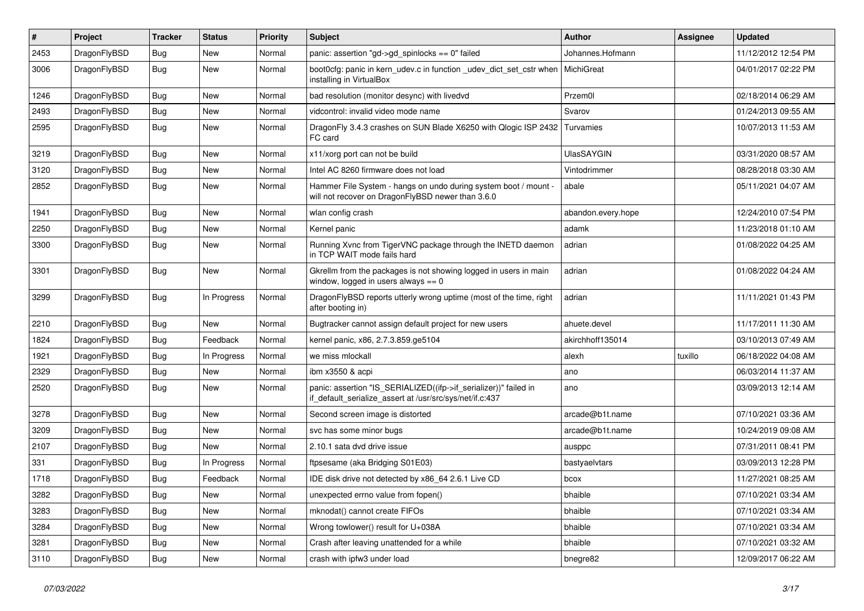| #    | Project      | <b>Tracker</b> | <b>Status</b> | <b>Priority</b> | Subject                                                                                                                      | Author             | Assignee | <b>Updated</b>      |
|------|--------------|----------------|---------------|-----------------|------------------------------------------------------------------------------------------------------------------------------|--------------------|----------|---------------------|
| 2453 | DragonFlyBSD | <b>Bug</b>     | New           | Normal          | panic: assertion "gd->gd_spinlocks == 0" failed                                                                              | Johannes.Hofmann   |          | 11/12/2012 12:54 PM |
| 3006 | DragonFlyBSD | <b>Bug</b>     | New           | Normal          | boot0cfg: panic in kern_udev.c in function _udev_dict_set_cstr when<br>installing in VirtualBox                              | MichiGreat         |          | 04/01/2017 02:22 PM |
| 1246 | DragonFlyBSD | <b>Bug</b>     | New           | Normal          | bad resolution (monitor desync) with livedvd                                                                                 | Przem0l            |          | 02/18/2014 06:29 AM |
| 2493 | DragonFlyBSD | <b>Bug</b>     | <b>New</b>    | Normal          | vidcontrol: invalid video mode name                                                                                          | Svarov             |          | 01/24/2013 09:55 AM |
| 2595 | DragonFlyBSD | <b>Bug</b>     | New           | Normal          | DragonFly 3.4.3 crashes on SUN Blade X6250 with Qlogic ISP 2432<br>FC card                                                   | Turvamies          |          | 10/07/2013 11:53 AM |
| 3219 | DragonFlyBSD | <b>Bug</b>     | <b>New</b>    | Normal          | x11/xorg port can not be build                                                                                               | <b>UlasSAYGIN</b>  |          | 03/31/2020 08:57 AM |
| 3120 | DragonFlyBSD | <b>Bug</b>     | <b>New</b>    | Normal          | Intel AC 8260 firmware does not load                                                                                         | Vintodrimmer       |          | 08/28/2018 03:30 AM |
| 2852 | DragonFlyBSD | <b>Bug</b>     | New           | Normal          | Hammer File System - hangs on undo during system boot / mount -<br>will not recover on DragonFlyBSD newer than 3.6.0         | abale              |          | 05/11/2021 04:07 AM |
| 1941 | DragonFlyBSD | <b>Bug</b>     | New           | Normal          | wlan config crash                                                                                                            | abandon.every.hope |          | 12/24/2010 07:54 PM |
| 2250 | DragonFlyBSD | <b>Bug</b>     | <b>New</b>    | Normal          | Kernel panic                                                                                                                 | adamk              |          | 11/23/2018 01:10 AM |
| 3300 | DragonFlyBSD | <b>Bug</b>     | New           | Normal          | Running Xvnc from TigerVNC package through the INETD daemon<br>in TCP WAIT mode fails hard                                   | adrian             |          | 01/08/2022 04:25 AM |
| 3301 | DragonFlyBSD | <b>Bug</b>     | New           | Normal          | Gkrellm from the packages is not showing logged in users in main<br>window, logged in users always $== 0$                    | adrian             |          | 01/08/2022 04:24 AM |
| 3299 | DragonFlyBSD | <b>Bug</b>     | In Progress   | Normal          | DragonFlyBSD reports utterly wrong uptime (most of the time, right<br>after booting in)                                      | adrian             |          | 11/11/2021 01:43 PM |
| 2210 | DragonFlyBSD | <b>Bug</b>     | <b>New</b>    | Normal          | Bugtracker cannot assign default project for new users                                                                       | ahuete.devel       |          | 11/17/2011 11:30 AM |
| 1824 | DragonFlyBSD | <b>Bug</b>     | Feedback      | Normal          | kernel panic, x86, 2.7.3.859.ge5104                                                                                          | akirchhoff135014   |          | 03/10/2013 07:49 AM |
| 1921 | DragonFlyBSD | <b>Bug</b>     | In Progress   | Normal          | we miss mlockall                                                                                                             | alexh              | tuxillo  | 06/18/2022 04:08 AM |
| 2329 | DragonFlyBSD | <b>Bug</b>     | <b>New</b>    | Normal          | ibm x3550 & acpi                                                                                                             | ano                |          | 06/03/2014 11:37 AM |
| 2520 | DragonFlyBSD | <b>Bug</b>     | <b>New</b>    | Normal          | panic: assertion "IS_SERIALIZED((ifp->if_serializer))" failed in<br>if_default_serialize_assert at /usr/src/sys/net/if.c:437 | ano                |          | 03/09/2013 12:14 AM |
| 3278 | DragonFlyBSD | <b>Bug</b>     | New           | Normal          | Second screen image is distorted                                                                                             | arcade@b1t.name    |          | 07/10/2021 03:36 AM |
| 3209 | DragonFlyBSD | <b>Bug</b>     | New           | Normal          | svc has some minor bugs                                                                                                      | arcade@b1t.name    |          | 10/24/2019 09:08 AM |
| 2107 | DragonFlyBSD | <b>Bug</b>     | <b>New</b>    | Normal          | 2.10.1 sata dvd drive issue                                                                                                  | ausppc             |          | 07/31/2011 08:41 PM |
| 331  | DragonFlyBSD | <b>Bug</b>     | In Progress   | Normal          | ftpsesame (aka Bridging S01E03)                                                                                              | bastyaelvtars      |          | 03/09/2013 12:28 PM |
| 1718 | DragonFlyBSD | <b>Bug</b>     | Feedback      | Normal          | IDE disk drive not detected by x86_64 2.6.1 Live CD                                                                          | bcox               |          | 11/27/2021 08:25 AM |
| 3282 | DragonFlyBSD | <b>Bug</b>     | New           | Normal          | unexpected errno value from fopen()                                                                                          | bhaible            |          | 07/10/2021 03:34 AM |
| 3283 | DragonFlyBSD | <b>Bug</b>     | <b>New</b>    | Normal          | mknodat() cannot create FIFOs                                                                                                | bhaible            |          | 07/10/2021 03:34 AM |
| 3284 | DragonFlyBSD | <b>Bug</b>     | New           | Normal          | Wrong towlower() result for U+038A                                                                                           | bhaible            |          | 07/10/2021 03:34 AM |
| 3281 | DragonFlyBSD | <b>Bug</b>     | <b>New</b>    | Normal          | Crash after leaving unattended for a while                                                                                   | bhaible            |          | 07/10/2021 03:32 AM |
| 3110 | DragonFlyBSD | <b>Bug</b>     | New           | Normal          | crash with ipfw3 under load                                                                                                  | bnegre82           |          | 12/09/2017 06:22 AM |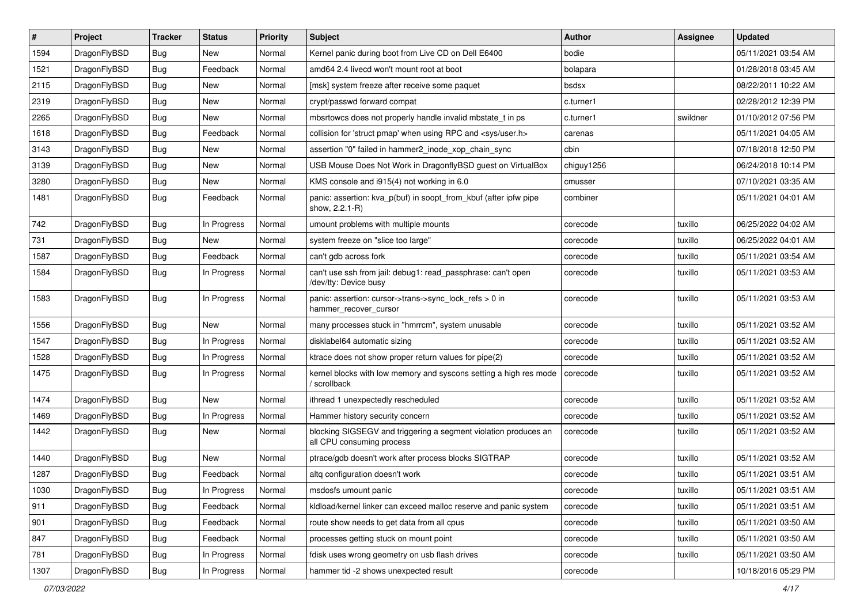| #    | Project      | <b>Tracker</b> | <b>Status</b> | <b>Priority</b> | <b>Subject</b>                                                                               | <b>Author</b> | <b>Assignee</b> | <b>Updated</b>      |
|------|--------------|----------------|---------------|-----------------|----------------------------------------------------------------------------------------------|---------------|-----------------|---------------------|
| 1594 | DragonFlyBSD | <b>Bug</b>     | New           | Normal          | Kernel panic during boot from Live CD on Dell E6400                                          | bodie         |                 | 05/11/2021 03:54 AM |
| 1521 | DragonFlyBSD | Bug            | Feedback      | Normal          | amd64 2.4 livecd won't mount root at boot                                                    | bolapara      |                 | 01/28/2018 03:45 AM |
| 2115 | DragonFlyBSD | Bug            | New           | Normal          | [msk] system freeze after receive some paquet                                                | bsdsx         |                 | 08/22/2011 10:22 AM |
| 2319 | DragonFlyBSD | Bug            | New           | Normal          | crypt/passwd forward compat                                                                  | c.turner1     |                 | 02/28/2012 12:39 PM |
| 2265 | DragonFlyBSD | Bug            | <b>New</b>    | Normal          | mbsrtowcs does not properly handle invalid mbstate t in ps                                   | c.turner1     | swildner        | 01/10/2012 07:56 PM |
| 1618 | DragonFlyBSD | Bug            | Feedback      | Normal          | collision for 'struct pmap' when using RPC and <sys user.h=""></sys>                         | carenas       |                 | 05/11/2021 04:05 AM |
| 3143 | DragonFlyBSD | Bug            | New           | Normal          | assertion "0" failed in hammer2_inode_xop_chain_sync                                         | cbin          |                 | 07/18/2018 12:50 PM |
| 3139 | DragonFlyBSD | Bug            | New           | Normal          | USB Mouse Does Not Work in DragonflyBSD guest on VirtualBox                                  | chiguy1256    |                 | 06/24/2018 10:14 PM |
| 3280 | DragonFlyBSD | Bug            | New           | Normal          | KMS console and i915(4) not working in 6.0                                                   | cmusser       |                 | 07/10/2021 03:35 AM |
| 1481 | DragonFlyBSD | Bug            | Feedback      | Normal          | panic: assertion: kva_p(buf) in soopt_from_kbuf (after ipfw pipe<br>show, 2.2.1-R)           | combiner      |                 | 05/11/2021 04:01 AM |
| 742  | DragonFlyBSD | Bug            | In Progress   | Normal          | umount problems with multiple mounts                                                         | corecode      | tuxillo         | 06/25/2022 04:02 AM |
| 731  | DragonFlyBSD | Bug            | New           | Normal          | system freeze on "slice too large"                                                           | corecode      | tuxillo         | 06/25/2022 04:01 AM |
| 1587 | DragonFlyBSD | <b>Bug</b>     | Feedback      | Normal          | can't gdb across fork                                                                        | corecode      | tuxillo         | 05/11/2021 03:54 AM |
| 1584 | DragonFlyBSD | Bug            | In Progress   | Normal          | can't use ssh from jail: debug1: read_passphrase: can't open<br>/dev/tty: Device busy        | corecode      | tuxillo         | 05/11/2021 03:53 AM |
| 1583 | DragonFlyBSD | Bug            | In Progress   | Normal          | panic: assertion: cursor->trans->sync_lock_refs > 0 in<br>hammer_recover_cursor              | corecode      | tuxillo         | 05/11/2021 03:53 AM |
| 1556 | DragonFlyBSD | <b>Bug</b>     | <b>New</b>    | Normal          | many processes stuck in "hmrrcm", system unusable                                            | corecode      | tuxillo         | 05/11/2021 03:52 AM |
| 1547 | DragonFlyBSD | <b>Bug</b>     | In Progress   | Normal          | disklabel64 automatic sizing                                                                 | corecode      | tuxillo         | 05/11/2021 03:52 AM |
| 1528 | DragonFlyBSD | <b>Bug</b>     | In Progress   | Normal          | ktrace does not show proper return values for pipe(2)                                        | corecode      | tuxillo         | 05/11/2021 03:52 AM |
| 1475 | DragonFlyBSD | <b>Bug</b>     | In Progress   | Normal          | kernel blocks with low memory and syscons setting a high res mode<br>/ scrollback            | corecode      | tuxillo         | 05/11/2021 03:52 AM |
| 1474 | DragonFlyBSD | <b>Bug</b>     | <b>New</b>    | Normal          | ithread 1 unexpectedly rescheduled                                                           | corecode      | tuxillo         | 05/11/2021 03:52 AM |
| 1469 | DragonFlyBSD | <b>Bug</b>     | In Progress   | Normal          | Hammer history security concern                                                              | corecode      | tuxillo         | 05/11/2021 03:52 AM |
| 1442 | DragonFlyBSD | <b>Bug</b>     | New           | Normal          | blocking SIGSEGV and triggering a segment violation produces an<br>all CPU consuming process | corecode      | tuxillo         | 05/11/2021 03:52 AM |
| 1440 | DragonFlyBSD | <b>Bug</b>     | New           | Normal          | ptrace/gdb doesn't work after process blocks SIGTRAP                                         | corecode      | tuxillo         | 05/11/2021 03:52 AM |
| 1287 | DragonFlyBSD | <b>Bug</b>     | Feedback      | Normal          | altq configuration doesn't work                                                              | corecode      | tuxillo         | 05/11/2021 03:51 AM |
| 1030 | DragonFlyBSD | Bug            | In Progress   | Normal          | msdosfs umount panic                                                                         | corecode      | tuxillo         | 05/11/2021 03:51 AM |
| 911  | DragonFlyBSD | <b>Bug</b>     | Feedback      | Normal          | kldload/kernel linker can exceed malloc reserve and panic system                             | corecode      | tuxillo         | 05/11/2021 03:51 AM |
| 901  | DragonFlyBSD | <b>Bug</b>     | Feedback      | Normal          | route show needs to get data from all cpus                                                   | corecode      | tuxillo         | 05/11/2021 03:50 AM |
| 847  | DragonFlyBSD | <b>Bug</b>     | Feedback      | Normal          | processes getting stuck on mount point                                                       | corecode      | tuxillo         | 05/11/2021 03:50 AM |
| 781  | DragonFlyBSD | <b>Bug</b>     | In Progress   | Normal          | fdisk uses wrong geometry on usb flash drives                                                | corecode      | tuxillo         | 05/11/2021 03:50 AM |
| 1307 | DragonFlyBSD | <b>Bug</b>     | In Progress   | Normal          | hammer tid -2 shows unexpected result                                                        | corecode      |                 | 10/18/2016 05:29 PM |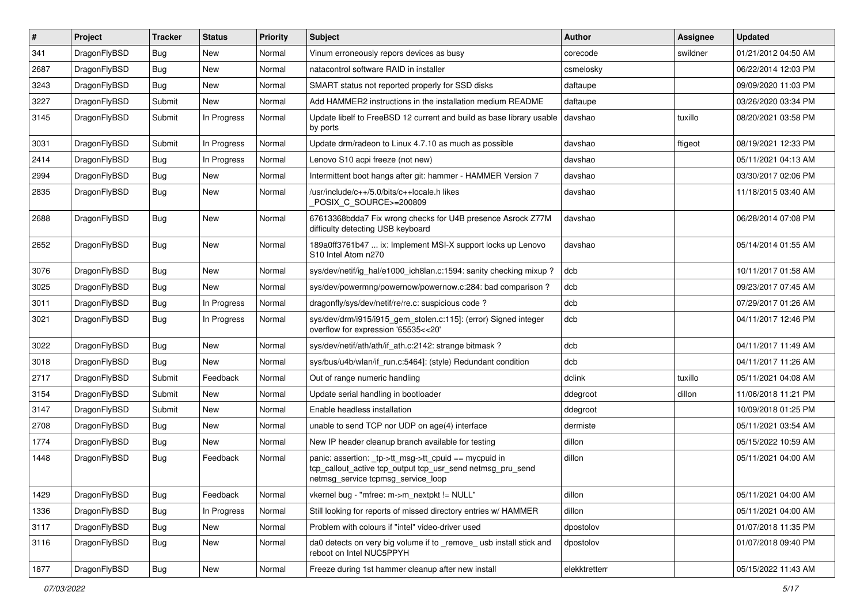| #    | Project      | <b>Tracker</b> | <b>Status</b> | <b>Priority</b> | <b>Subject</b>                                                                                                                                            | Author        | Assignee | <b>Updated</b>      |
|------|--------------|----------------|---------------|-----------------|-----------------------------------------------------------------------------------------------------------------------------------------------------------|---------------|----------|---------------------|
| 341  | DragonFlyBSD | Bug            | <b>New</b>    | Normal          | Vinum erroneously repors devices as busy                                                                                                                  | corecode      | swildner | 01/21/2012 04:50 AM |
| 2687 | DragonFlyBSD | <b>Bug</b>     | <b>New</b>    | Normal          | natacontrol software RAID in installer                                                                                                                    | csmelosky     |          | 06/22/2014 12:03 PM |
| 3243 | DragonFlyBSD | Bug            | <b>New</b>    | Normal          | SMART status not reported properly for SSD disks                                                                                                          | daftaupe      |          | 09/09/2020 11:03 PM |
| 3227 | DragonFlyBSD | Submit         | <b>New</b>    | Normal          | Add HAMMER2 instructions in the installation medium README                                                                                                | daftaupe      |          | 03/26/2020 03:34 PM |
| 3145 | DragonFlyBSD | Submit         | In Progress   | Normal          | Update libelf to FreeBSD 12 current and build as base library usable<br>by ports                                                                          | davshao       | tuxillo  | 08/20/2021 03:58 PM |
| 3031 | DragonFlyBSD | Submit         | In Progress   | Normal          | Update drm/radeon to Linux 4.7.10 as much as possible                                                                                                     | davshao       | ftigeot  | 08/19/2021 12:33 PM |
| 2414 | DragonFlyBSD | <b>Bug</b>     | In Progress   | Normal          | Lenovo S10 acpi freeze (not new)                                                                                                                          | davshao       |          | 05/11/2021 04:13 AM |
| 2994 | DragonFlyBSD | <b>Bug</b>     | <b>New</b>    | Normal          | Intermittent boot hangs after git: hammer - HAMMER Version 7                                                                                              | davshao       |          | 03/30/2017 02:06 PM |
| 2835 | DragonFlyBSD | Bug            | <b>New</b>    | Normal          | /usr/include/c++/5.0/bits/c++locale.h likes<br>POSIX_C_SOURCE>=200809                                                                                     | davshao       |          | 11/18/2015 03:40 AM |
| 2688 | DragonFlyBSD | Bug            | <b>New</b>    | Normal          | 67613368bdda7 Fix wrong checks for U4B presence Asrock Z77M<br>difficulty detecting USB keyboard                                                          | davshao       |          | 06/28/2014 07:08 PM |
| 2652 | DragonFlyBSD | Bug            | New           | Normal          | 189a0ff3761b47  ix: Implement MSI-X support locks up Lenovo<br>S10 Intel Atom n270                                                                        | davshao       |          | 05/14/2014 01:55 AM |
| 3076 | DragonFlyBSD | <b>Bug</b>     | <b>New</b>    | Normal          | sys/dev/netif/ig hal/e1000 ich8lan.c:1594: sanity checking mixup?                                                                                         | dcb           |          | 10/11/2017 01:58 AM |
| 3025 | DragonFlyBSD | <b>Bug</b>     | <b>New</b>    | Normal          | sys/dev/powermng/powernow/powernow.c:284: bad comparison?                                                                                                 | dcb           |          | 09/23/2017 07:45 AM |
| 3011 | DragonFlyBSD | <b>Bug</b>     | In Progress   | Normal          | dragonfly/sys/dev/netif/re/re.c: suspicious code?                                                                                                         | dcb           |          | 07/29/2017 01:26 AM |
| 3021 | DragonFlyBSD | Bug            | In Progress   | Normal          | sys/dev/drm/i915/i915_gem_stolen.c:115]: (error) Signed integer<br>overflow for expression '65535<<20'                                                    | dcb           |          | 04/11/2017 12:46 PM |
| 3022 | DragonFlyBSD | Bug            | <b>New</b>    | Normal          | sys/dev/netif/ath/ath/if_ath.c:2142: strange bitmask?                                                                                                     | dcb           |          | 04/11/2017 11:49 AM |
| 3018 | DragonFlyBSD | Bug            | New           | Normal          | sys/bus/u4b/wlan/if run.c:5464]: (style) Redundant condition                                                                                              | dcb           |          | 04/11/2017 11:26 AM |
| 2717 | DragonFlyBSD | Submit         | Feedback      | Normal          | Out of range numeric handling                                                                                                                             | dclink        | tuxillo  | 05/11/2021 04:08 AM |
| 3154 | DragonFlyBSD | Submit         | <b>New</b>    | Normal          | Update serial handling in bootloader                                                                                                                      | ddegroot      | dillon   | 11/06/2018 11:21 PM |
| 3147 | DragonFlyBSD | Submit         | <b>New</b>    | Normal          | Enable headless installation                                                                                                                              | ddegroot      |          | 10/09/2018 01:25 PM |
| 2708 | DragonFlyBSD | Bug            | <b>New</b>    | Normal          | unable to send TCP nor UDP on age(4) interface                                                                                                            | dermiste      |          | 05/11/2021 03:54 AM |
| 1774 | DragonFlyBSD | Bug            | <b>New</b>    | Normal          | New IP header cleanup branch available for testing                                                                                                        | dillon        |          | 05/15/2022 10:59 AM |
| 1448 | DragonFlyBSD | Bug            | Feedback      | Normal          | panic: assertion: _tp->tt_msg->tt_cpuid == mycpuid in<br>tcp_callout_active tcp_output tcp_usr_send netmsg_pru_send<br>netmsg service tcpmsg service loop | dillon        |          | 05/11/2021 04:00 AM |
| 1429 | DragonFlyBSD | Bug            | Feedback      | Normal          | vkernel bug - "mfree: m->m_nextpkt != NULL"                                                                                                               | dillon        |          | 05/11/2021 04:00 AM |
| 1336 | DragonFlyBSD | <b>Bug</b>     | In Progress   | Normal          | Still looking for reports of missed directory entries w/ HAMMER                                                                                           | dillon        |          | 05/11/2021 04:00 AM |
| 3117 | DragonFlyBSD | <b>Bug</b>     | New           | Normal          | Problem with colours if "intel" video-driver used                                                                                                         | dpostolov     |          | 01/07/2018 11:35 PM |
| 3116 | DragonFlyBSD | Bug            | New           | Normal          | da0 detects on very big volume if to _remove_ usb install stick and<br>reboot on Intel NUC5PPYH                                                           | dpostolov     |          | 01/07/2018 09:40 PM |
| 1877 | DragonFlyBSD | <b>Bug</b>     | New           | Normal          | Freeze during 1st hammer cleanup after new install                                                                                                        | elekktretterr |          | 05/15/2022 11:43 AM |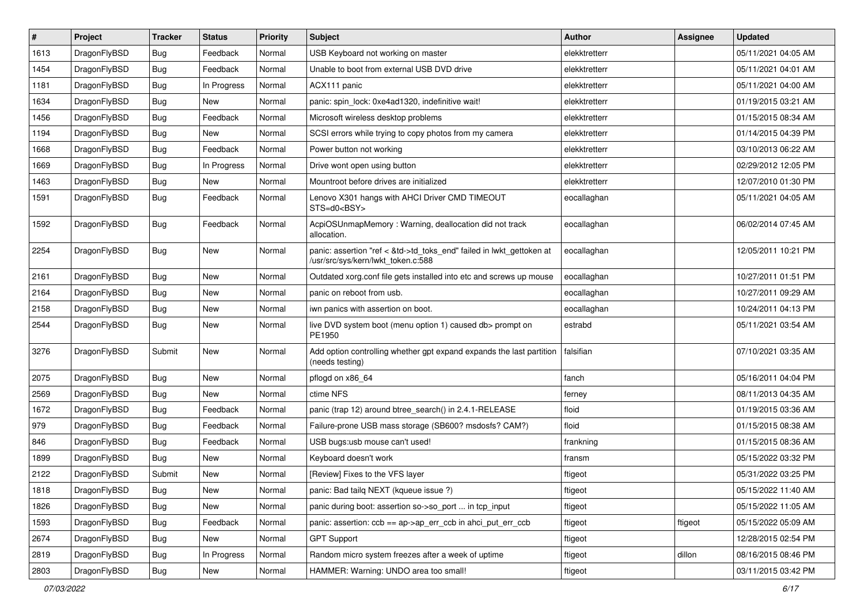| $\sharp$ | Project      | <b>Tracker</b> | <b>Status</b> | <b>Priority</b> | Subject                                                                                                    | Author        | Assignee | <b>Updated</b>      |
|----------|--------------|----------------|---------------|-----------------|------------------------------------------------------------------------------------------------------------|---------------|----------|---------------------|
| 1613     | DragonFlyBSD | <b>Bug</b>     | Feedback      | Normal          | USB Keyboard not working on master                                                                         | elekktretterr |          | 05/11/2021 04:05 AM |
| 1454     | DragonFlyBSD | <b>Bug</b>     | Feedback      | Normal          | Unable to boot from external USB DVD drive                                                                 | elekktretterr |          | 05/11/2021 04:01 AM |
| 1181     | DragonFlyBSD | <b>Bug</b>     | In Progress   | Normal          | ACX111 panic                                                                                               | elekktretterr |          | 05/11/2021 04:00 AM |
| 1634     | DragonFlyBSD | <b>Bug</b>     | New           | Normal          | panic: spin_lock: 0xe4ad1320, indefinitive wait!                                                           | elekktretterr |          | 01/19/2015 03:21 AM |
| 1456     | DragonFlyBSD | <b>Bug</b>     | Feedback      | Normal          | Microsoft wireless desktop problems                                                                        | elekktretterr |          | 01/15/2015 08:34 AM |
| 1194     | DragonFlyBSD | <b>Bug</b>     | New           | Normal          | SCSI errors while trying to copy photos from my camera                                                     | elekktretterr |          | 01/14/2015 04:39 PM |
| 1668     | DragonFlyBSD | Bug            | Feedback      | Normal          | Power button not working                                                                                   | elekktretterr |          | 03/10/2013 06:22 AM |
| 1669     | DragonFlyBSD | <b>Bug</b>     | In Progress   | Normal          | Drive wont open using button                                                                               | elekktretterr |          | 02/29/2012 12:05 PM |
| 1463     | DragonFlyBSD | <b>Bug</b>     | New           | Normal          | Mountroot before drives are initialized                                                                    | elekktretterr |          | 12/07/2010 01:30 PM |
| 1591     | DragonFlyBSD | <b>Bug</b>     | Feedback      | Normal          | Lenovo X301 hangs with AHCI Driver CMD TIMEOUT<br>STS=d0 <bsy></bsy>                                       | eocallaghan   |          | 05/11/2021 04:05 AM |
| 1592     | DragonFlyBSD | Bug            | Feedback      | Normal          | AcpiOSUnmapMemory: Warning, deallocation did not track<br>allocation.                                      | eocallaghan   |          | 06/02/2014 07:45 AM |
| 2254     | DragonFlyBSD | <b>Bug</b>     | New           | Normal          | panic: assertion "ref < &td->td_toks_end" failed in lwkt_gettoken at<br>/usr/src/sys/kern/lwkt_token.c:588 | eocallaghan   |          | 12/05/2011 10:21 PM |
| 2161     | DragonFlyBSD | Bug            | <b>New</b>    | Normal          | Outdated xorg.conf file gets installed into etc and screws up mouse                                        | eocallaghan   |          | 10/27/2011 01:51 PM |
| 2164     | DragonFlyBSD | Bug            | <b>New</b>    | Normal          | panic on reboot from usb.                                                                                  | eocallaghan   |          | 10/27/2011 09:29 AM |
| 2158     | DragonFlyBSD | Bug            | New           | Normal          | iwn panics with assertion on boot.                                                                         | eocallaghan   |          | 10/24/2011 04:13 PM |
| 2544     | DragonFlyBSD | Bug            | <b>New</b>    | Normal          | live DVD system boot (menu option 1) caused db> prompt on<br>PE1950                                        | estrabd       |          | 05/11/2021 03:54 AM |
| 3276     | DragonFlyBSD | Submit         | New           | Normal          | Add option controlling whether gpt expand expands the last partition<br>(needs testing)                    | falsifian     |          | 07/10/2021 03:35 AM |
| 2075     | DragonFlyBSD | Bug            | <b>New</b>    | Normal          | pflogd on x86_64                                                                                           | fanch         |          | 05/16/2011 04:04 PM |
| 2569     | DragonFlyBSD | Bug            | New           | Normal          | ctime NFS                                                                                                  | ferney        |          | 08/11/2013 04:35 AM |
| 1672     | DragonFlyBSD | <b>Bug</b>     | Feedback      | Normal          | panic (trap 12) around btree_search() in 2.4.1-RELEASE                                                     | floid         |          | 01/19/2015 03:36 AM |
| 979      | DragonFlyBSD | <b>Bug</b>     | Feedback      | Normal          | Failure-prone USB mass storage (SB600? msdosfs? CAM?)                                                      | floid         |          | 01/15/2015 08:38 AM |
| 846      | DragonFlyBSD | <b>Bug</b>     | Feedback      | Normal          | USB bugs:usb mouse can't used!                                                                             | frankning     |          | 01/15/2015 08:36 AM |
| 1899     | DragonFlyBSD | <b>Bug</b>     | New           | Normal          | Keyboard doesn't work                                                                                      | fransm        |          | 05/15/2022 03:32 PM |
| 2122     | DragonFlyBSD | Submit         | New           | Normal          | [Review] Fixes to the VFS layer                                                                            | ftigeot       |          | 05/31/2022 03:25 PM |
| 1818     | DragonFlyBSD | Bug            | <b>New</b>    | Normal          | panic: Bad tailq NEXT (kqueue issue ?)                                                                     | ftigeot       |          | 05/15/2022 11:40 AM |
| 1826     | DragonFlyBSD | <b>Bug</b>     | New           | Normal          | panic during boot: assertion so->so_port  in tcp_input                                                     | ftigeot       |          | 05/15/2022 11:05 AM |
| 1593     | DragonFlyBSD | <b>Bug</b>     | Feedback      | Normal          | panic: assertion: ccb == ap->ap_err_ccb in ahci_put_err_ccb                                                | ftigeot       | ftigeot  | 05/15/2022 05:09 AM |
| 2674     | DragonFlyBSD | <b>Bug</b>     | New           | Normal          | <b>GPT Support</b>                                                                                         | ftigeot       |          | 12/28/2015 02:54 PM |
| 2819     | DragonFlyBSD | <b>Bug</b>     | In Progress   | Normal          | Random micro system freezes after a week of uptime                                                         | ftigeot       | dillon   | 08/16/2015 08:46 PM |
| 2803     | DragonFlyBSD | <b>Bug</b>     | New           | Normal          | HAMMER: Warning: UNDO area too small!                                                                      | ftigeot       |          | 03/11/2015 03:42 PM |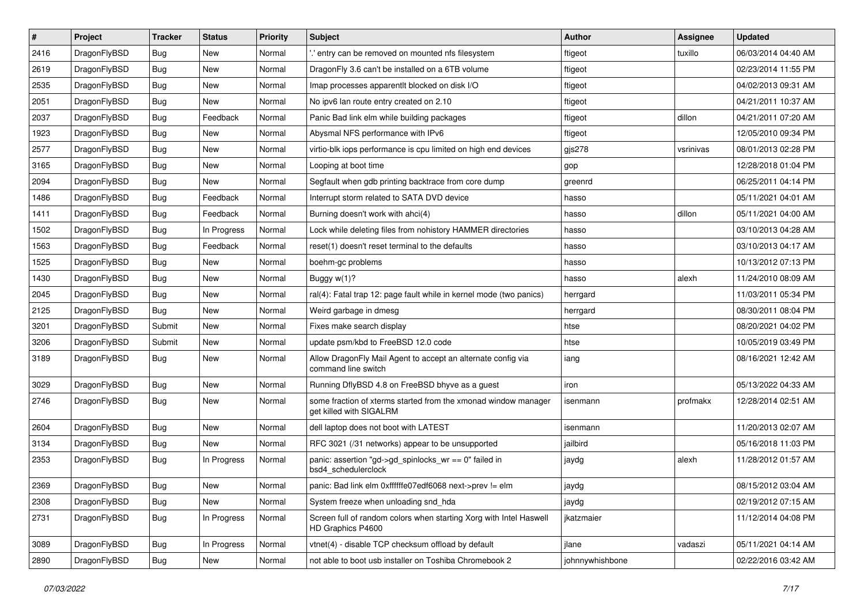| $\vert$ # | Project      | <b>Tracker</b> | <b>Status</b> | <b>Priority</b> | Subject                                                                                   | Author          | Assignee  | <b>Updated</b>      |
|-----------|--------------|----------------|---------------|-----------------|-------------------------------------------------------------------------------------------|-----------------|-----------|---------------------|
| 2416      | DragonFlyBSD | Bug            | New           | Normal          | 'entry can be removed on mounted nfs filesystem                                           | ftigeot         | tuxillo   | 06/03/2014 04:40 AM |
| 2619      | DragonFlyBSD | <b>Bug</b>     | <b>New</b>    | Normal          | DragonFly 3.6 can't be installed on a 6TB volume                                          | ftigeot         |           | 02/23/2014 11:55 PM |
| 2535      | DragonFlyBSD | <b>Bug</b>     | New           | Normal          | Imap processes apparentlt blocked on disk I/O                                             | ftigeot         |           | 04/02/2013 09:31 AM |
| 2051      | DragonFlyBSD | Bug            | New           | Normal          | No ipv6 lan route entry created on 2.10                                                   | ftigeot         |           | 04/21/2011 10:37 AM |
| 2037      | DragonFlyBSD | <b>Bug</b>     | Feedback      | Normal          | Panic Bad link elm while building packages                                                | ftigeot         | dillon    | 04/21/2011 07:20 AM |
| 1923      | DragonFlyBSD | <b>Bug</b>     | New           | Normal          | Abysmal NFS performance with IPv6                                                         | ftigeot         |           | 12/05/2010 09:34 PM |
| 2577      | DragonFlyBSD | Bug            | <b>New</b>    | Normal          | virtio-blk iops performance is cpu limited on high end devices                            | gjs278          | vsrinivas | 08/01/2013 02:28 PM |
| 3165      | DragonFlyBSD | <b>Bug</b>     | New           | Normal          | Looping at boot time                                                                      | gop             |           | 12/28/2018 01:04 PM |
| 2094      | DragonFlyBSD | Bug            | New           | Normal          | Segfault when gdb printing backtrace from core dump                                       | greenrd         |           | 06/25/2011 04:14 PM |
| 1486      | DragonFlyBSD | <b>Bug</b>     | Feedback      | Normal          | Interrupt storm related to SATA DVD device                                                | hasso           |           | 05/11/2021 04:01 AM |
| 1411      | DragonFlyBSD | <b>Bug</b>     | Feedback      | Normal          | Burning doesn't work with ahci(4)                                                         | hasso           | dillon    | 05/11/2021 04:00 AM |
| 1502      | DragonFlyBSD | Bug            | In Progress   | Normal          | Lock while deleting files from nohistory HAMMER directories                               | hasso           |           | 03/10/2013 04:28 AM |
| 1563      | DragonFlyBSD | Bug            | Feedback      | Normal          | reset(1) doesn't reset terminal to the defaults                                           | hasso           |           | 03/10/2013 04:17 AM |
| 1525      | DragonFlyBSD | Bug            | <b>New</b>    | Normal          | boehm-gc problems                                                                         | hasso           |           | 10/13/2012 07:13 PM |
| 1430      | DragonFlyBSD | Bug            | <b>New</b>    | Normal          | Buggy w(1)?                                                                               | hasso           | alexh     | 11/24/2010 08:09 AM |
| 2045      | DragonFlyBSD | Bug            | New           | Normal          | ral(4): Fatal trap 12: page fault while in kernel mode (two panics)                       | herrgard        |           | 11/03/2011 05:34 PM |
| 2125      | DragonFlyBSD | Bug            | New           | Normal          | Weird garbage in dmesg                                                                    | herrgard        |           | 08/30/2011 08:04 PM |
| 3201      | DragonFlyBSD | Submit         | New           | Normal          | Fixes make search display                                                                 | htse            |           | 08/20/2021 04:02 PM |
| 3206      | DragonFlyBSD | Submit         | New           | Normal          | update psm/kbd to FreeBSD 12.0 code                                                       | htse            |           | 10/05/2019 03:49 PM |
| 3189      | DragonFlyBSD | <b>Bug</b>     | New           | Normal          | Allow DragonFly Mail Agent to accept an alternate config via<br>command line switch       | iang            |           | 08/16/2021 12:42 AM |
| 3029      | DragonFlyBSD | Bug            | <b>New</b>    | Normal          | Running DflyBSD 4.8 on FreeBSD bhyve as a guest                                           | iron            |           | 05/13/2022 04:33 AM |
| 2746      | DragonFlyBSD | Bug            | <b>New</b>    | Normal          | some fraction of xterms started from the xmonad window manager<br>get killed with SIGALRM | isenmann        | profmakx  | 12/28/2014 02:51 AM |
| 2604      | DragonFlyBSD | Bug            | New           | Normal          | dell laptop does not boot with LATEST                                                     | isenmann        |           | 11/20/2013 02:07 AM |
| 3134      | DragonFlyBSD | <b>Bug</b>     | New           | Normal          | RFC 3021 (/31 networks) appear to be unsupported                                          | jailbird        |           | 05/16/2018 11:03 PM |
| 2353      | DragonFlyBSD | Bug            | In Progress   | Normal          | panic: assertion "gd->gd_spinlocks_wr == 0" failed in<br>bsd4_schedulerclock              | jaydg           | alexh     | 11/28/2012 01:57 AM |
| 2369      | DragonFlyBSD | Bug            | New           | Normal          | panic: Bad link elm 0xffffffe07edf6068 next->prev != elm                                  | jaydg           |           | 08/15/2012 03:04 AM |
| 2308      | DragonFlyBSD | Bug            | New           | Normal          | System freeze when unloading snd hda                                                      | jaydg           |           | 02/19/2012 07:15 AM |
| 2731      | DragonFlyBSD | Bug            | In Progress   | Normal          | Screen full of random colors when starting Xorg with Intel Haswell<br>HD Graphics P4600   | ikatzmaier      |           | 11/12/2014 04:08 PM |
| 3089      | DragonFlyBSD | <b>Bug</b>     | In Progress   | Normal          | vtnet(4) - disable TCP checksum offload by default                                        | jlane           | vadaszi   | 05/11/2021 04:14 AM |
| 2890      | DragonFlyBSD | <b>Bug</b>     | New           | Normal          | not able to boot usb installer on Toshiba Chromebook 2                                    | johnnywhishbone |           | 02/22/2016 03:42 AM |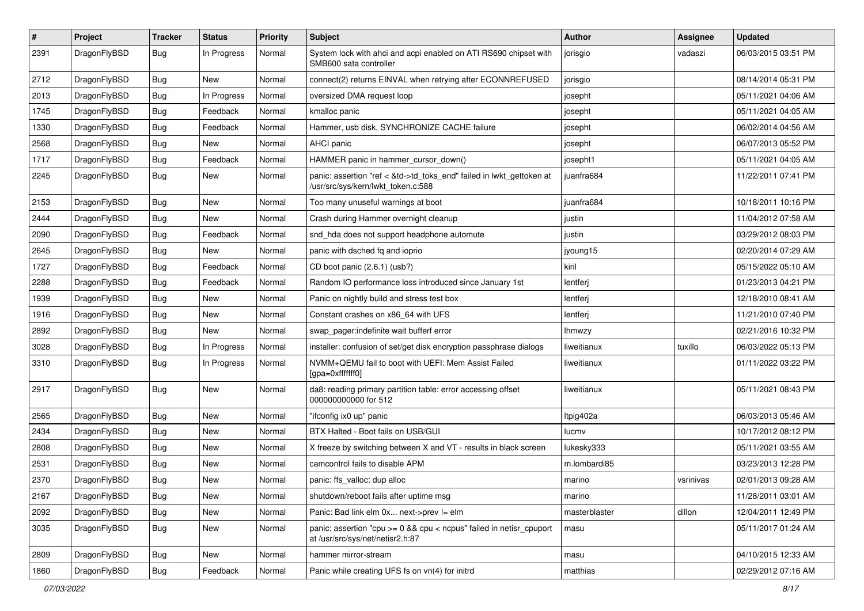| $\sharp$ | Project      | <b>Tracker</b> | <b>Status</b> | <b>Priority</b> | Subject                                                                                                    | <b>Author</b> | Assignee  | <b>Updated</b>      |
|----------|--------------|----------------|---------------|-----------------|------------------------------------------------------------------------------------------------------------|---------------|-----------|---------------------|
| 2391     | DragonFlyBSD | <b>Bug</b>     | In Progress   | Normal          | System lock with ahci and acpi enabled on ATI RS690 chipset with<br>SMB600 sata controller                 | jorisgio      | vadaszi   | 06/03/2015 03:51 PM |
| 2712     | DragonFlyBSD | <b>Bug</b>     | <b>New</b>    | Normal          | connect(2) returns EINVAL when retrying after ECONNREFUSED                                                 | jorisgio      |           | 08/14/2014 05:31 PM |
| 2013     | DragonFlyBSD | <b>Bug</b>     | In Progress   | Normal          | oversized DMA request loop                                                                                 | josepht       |           | 05/11/2021 04:06 AM |
| 1745     | DragonFlyBSD | <b>Bug</b>     | Feedback      | Normal          | kmalloc panic                                                                                              | josepht       |           | 05/11/2021 04:05 AM |
| 1330     | DragonFlyBSD | <b>Bug</b>     | Feedback      | Normal          | Hammer, usb disk, SYNCHRONIZE CACHE failure                                                                | josepht       |           | 06/02/2014 04:56 AM |
| 2568     | DragonFlyBSD | <b>Bug</b>     | New           | Normal          | AHCI panic                                                                                                 | josepht       |           | 06/07/2013 05:52 PM |
| 1717     | DragonFlyBSD | <b>Bug</b>     | Feedback      | Normal          | HAMMER panic in hammer cursor down()                                                                       | josepht1      |           | 05/11/2021 04:05 AM |
| 2245     | DragonFlyBSD | <b>Bug</b>     | New           | Normal          | panic: assertion "ref < &td->td_toks_end" failed in lwkt_gettoken at<br>/usr/src/sys/kern/lwkt token.c:588 | juanfra684    |           | 11/22/2011 07:41 PM |
| 2153     | DragonFlyBSD | <b>Bug</b>     | New           | Normal          | Too many unuseful warnings at boot                                                                         | juanfra684    |           | 10/18/2011 10:16 PM |
| 2444     | DragonFlyBSD | <b>Bug</b>     | New           | Normal          | Crash during Hammer overnight cleanup                                                                      | justin        |           | 11/04/2012 07:58 AM |
| 2090     | DragonFlyBSD | <b>Bug</b>     | Feedback      | Normal          | snd_hda does not support headphone automute                                                                | justin        |           | 03/29/2012 08:03 PM |
| 2645     | DragonFlyBSD | <b>Bug</b>     | New           | Normal          | panic with dsched fq and ioprio                                                                            | jyoung15      |           | 02/20/2014 07:29 AM |
| 1727     | DragonFlyBSD | <b>Bug</b>     | Feedback      | Normal          | CD boot panic (2.6.1) (usb?)                                                                               | kiril         |           | 05/15/2022 05:10 AM |
| 2288     | DragonFlyBSD | Bug            | Feedback      | Normal          | Random IO performance loss introduced since January 1st                                                    | lentferj      |           | 01/23/2013 04:21 PM |
| 1939     | DragonFlyBSD | <b>Bug</b>     | New           | Normal          | Panic on nightly build and stress test box                                                                 | lentferj      |           | 12/18/2010 08:41 AM |
| 1916     | DragonFlyBSD | Bug            | <b>New</b>    | Normal          | Constant crashes on x86_64 with UFS                                                                        | lentferj      |           | 11/21/2010 07:40 PM |
| 2892     | DragonFlyBSD | Bug            | New           | Normal          | swap pager:indefinite wait bufferf error                                                                   | Ihmwzy        |           | 02/21/2016 10:32 PM |
| 3028     | DragonFlyBSD | Bug            | In Progress   | Normal          | installer: confusion of set/get disk encryption passphrase dialogs                                         | liweitianux   | tuxillo   | 06/03/2022 05:13 PM |
| 3310     | DragonFlyBSD | <b>Bug</b>     | In Progress   | Normal          | NVMM+QEMU fail to boot with UEFI: Mem Assist Failed<br>[gpa=0xfffffff0]                                    | liweitianux   |           | 01/11/2022 03:22 PM |
| 2917     | DragonFlyBSD | Bug            | New           | Normal          | da8: reading primary partition table: error accessing offset<br>000000000000 for 512                       | liweitianux   |           | 05/11/2021 08:43 PM |
| 2565     | DragonFlyBSD | Bug            | New           | Normal          | "ifconfig ix0 up" panic                                                                                    | Itpig402a     |           | 06/03/2013 05:46 AM |
| 2434     | DragonFlyBSD | Bug            | <b>New</b>    | Normal          | BTX Halted - Boot fails on USB/GUI                                                                         | lucmv         |           | 10/17/2012 08:12 PM |
| 2808     | DragonFlyBSD | Bug            | New           | Normal          | X freeze by switching between X and VT - results in black screen                                           | lukesky333    |           | 05/11/2021 03:55 AM |
| 2531     | DragonFlyBSD | Bug            | <b>New</b>    | Normal          | camcontrol fails to disable APM                                                                            | m.lombardi85  |           | 03/23/2013 12:28 PM |
| 2370     | DragonFlyBSD | <b>Bug</b>     | New           | Normal          | panic: ffs_valloc: dup alloc                                                                               | marino        | vsrinivas | 02/01/2013 09:28 AM |
| 2167     | DragonFlyBSD | <b>Bug</b>     | New           | Normal          | shutdown/reboot fails after uptime msg                                                                     | marino        |           | 11/28/2011 03:01 AM |
| 2092     | DragonFlyBSD | <b>Bug</b>     | <b>New</b>    | Normal          | Panic: Bad link elm 0x next->prev != elm                                                                   | masterblaster | dillon    | 12/04/2011 12:49 PM |
| 3035     | DragonFlyBSD | <b>Bug</b>     | New           | Normal          | panic: assertion "cpu >= 0 && cpu < ncpus" failed in netisr_cpuport<br>at /usr/src/sys/net/netisr2.h:87    | masu          |           | 05/11/2017 01:24 AM |
| 2809     | DragonFlyBSD | <b>Bug</b>     | <b>New</b>    | Normal          | hammer mirror-stream                                                                                       | masu          |           | 04/10/2015 12:33 AM |
| 1860     | DragonFlyBSD | Bug            | Feedback      | Normal          | Panic while creating UFS fs on vn(4) for initrd                                                            | matthias      |           | 02/29/2012 07:16 AM |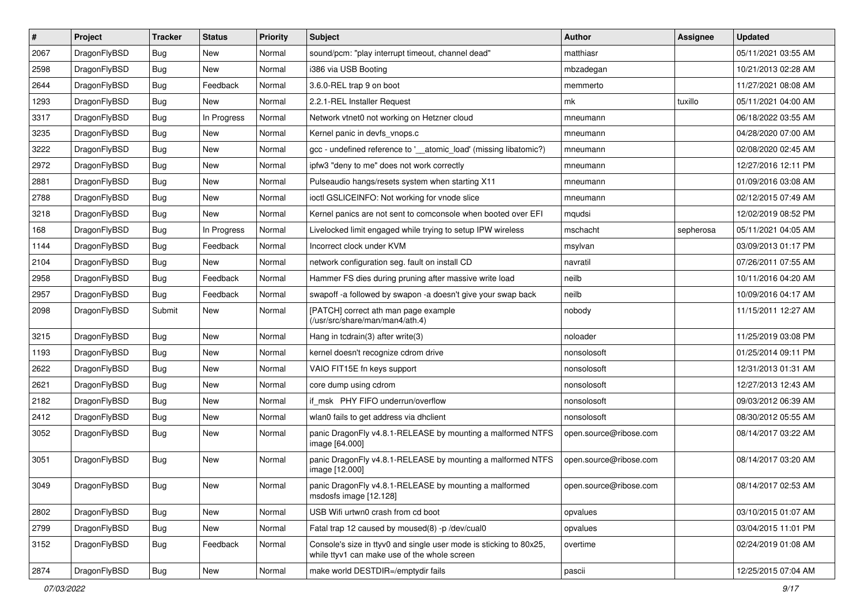| $\sharp$ | Project      | <b>Tracker</b> | <b>Status</b> | <b>Priority</b> | Subject                                                                                                            | <b>Author</b>          | <b>Assignee</b> | <b>Updated</b>      |
|----------|--------------|----------------|---------------|-----------------|--------------------------------------------------------------------------------------------------------------------|------------------------|-----------------|---------------------|
| 2067     | DragonFlyBSD | Bug            | New           | Normal          | sound/pcm: "play interrupt timeout, channel dead"                                                                  | matthiasr              |                 | 05/11/2021 03:55 AM |
| 2598     | DragonFlyBSD | Bug            | <b>New</b>    | Normal          | i386 via USB Booting                                                                                               | mbzadegan              |                 | 10/21/2013 02:28 AM |
| 2644     | DragonFlyBSD | Bug            | Feedback      | Normal          | 3.6.0-REL trap 9 on boot                                                                                           | memmerto               |                 | 11/27/2021 08:08 AM |
| 1293     | DragonFlyBSD | Bug            | New           | Normal          | 2.2.1-REL Installer Request                                                                                        | mk                     | tuxillo         | 05/11/2021 04:00 AM |
| 3317     | DragonFlyBSD | Bug            | In Progress   | Normal          | Network vtnet0 not working on Hetzner cloud                                                                        | mneumann               |                 | 06/18/2022 03:55 AM |
| 3235     | DragonFlyBSD | Bug            | New           | Normal          | Kernel panic in devfs vnops.c                                                                                      | mneumann               |                 | 04/28/2020 07:00 AM |
| 3222     | DragonFlyBSD | Bug            | New           | Normal          | gcc - undefined reference to '__atomic_load' (missing libatomic?)                                                  | mneumann               |                 | 02/08/2020 02:45 AM |
| 2972     | DragonFlyBSD | Bug            | <b>New</b>    | Normal          | ipfw3 "deny to me" does not work correctly                                                                         | mneumann               |                 | 12/27/2016 12:11 PM |
| 2881     | DragonFlyBSD | Bug            | New           | Normal          | Pulseaudio hangs/resets system when starting X11                                                                   | mneumann               |                 | 01/09/2016 03:08 AM |
| 2788     | DragonFlyBSD | Bug            | New           | Normal          | ioctl GSLICEINFO: Not working for vnode slice                                                                      | mneumann               |                 | 02/12/2015 07:49 AM |
| 3218     | DragonFlyBSD | Bug            | New           | Normal          | Kernel panics are not sent to comconsole when booted over EFI                                                      | mqudsi                 |                 | 12/02/2019 08:52 PM |
| 168      | DragonFlyBSD | Bug            | In Progress   | Normal          | Livelocked limit engaged while trying to setup IPW wireless                                                        | mschacht               | sepherosa       | 05/11/2021 04:05 AM |
| 1144     | DragonFlyBSD | Bug            | Feedback      | Normal          | Incorrect clock under KVM                                                                                          | msylvan                |                 | 03/09/2013 01:17 PM |
| 2104     | DragonFlyBSD | Bug            | New           | Normal          | network configuration seg. fault on install CD                                                                     | navratil               |                 | 07/26/2011 07:55 AM |
| 2958     | DragonFlyBSD | Bug            | Feedback      | Normal          | Hammer FS dies during pruning after massive write load                                                             | neilb                  |                 | 10/11/2016 04:20 AM |
| 2957     | DragonFlyBSD | Bug            | Feedback      | Normal          | swapoff -a followed by swapon -a doesn't give your swap back                                                       | neilb                  |                 | 10/09/2016 04:17 AM |
| 2098     | DragonFlyBSD | Submit         | New           | Normal          | [PATCH] correct ath man page example<br>(/usr/src/share/man/man4/ath.4)                                            | nobody                 |                 | 11/15/2011 12:27 AM |
| 3215     | DragonFlyBSD | Bug            | New           | Normal          | Hang in tcdrain(3) after write(3)                                                                                  | noloader               |                 | 11/25/2019 03:08 PM |
| 1193     | DragonFlyBSD | Bug            | New           | Normal          | kernel doesn't recognize cdrom drive                                                                               | nonsolosoft            |                 | 01/25/2014 09:11 PM |
| 2622     | DragonFlyBSD | Bug            | New           | Normal          | VAIO FIT15E fn keys support                                                                                        | nonsolosoft            |                 | 12/31/2013 01:31 AM |
| 2621     | DragonFlyBSD | Bug            | <b>New</b>    | Normal          | core dump using cdrom                                                                                              | nonsolosoft            |                 | 12/27/2013 12:43 AM |
| 2182     | DragonFlyBSD | Bug            | New           | Normal          | if_msk PHY FIFO underrun/overflow                                                                                  | nonsolosoft            |                 | 09/03/2012 06:39 AM |
| 2412     | DragonFlyBSD | Bug            | New           | Normal          | wlan0 fails to get address via dhclient                                                                            | nonsolosoft            |                 | 08/30/2012 05:55 AM |
| 3052     | DragonFlyBSD | Bug            | New           | Normal          | panic DragonFly v4.8.1-RELEASE by mounting a malformed NTFS<br>image [64.000]                                      | open.source@ribose.com |                 | 08/14/2017 03:22 AM |
| 3051     | DragonFlyBSD | <b>Bug</b>     | New           | Normal          | panic DragonFly v4.8.1-RELEASE by mounting a malformed NTFS<br>image [12.000]                                      | open.source@ribose.com |                 | 08/14/2017 03:20 AM |
| 3049     | DragonFlyBSD | Bug            | New           | Normal          | panic DragonFly v4.8.1-RELEASE by mounting a malformed<br>msdosfs image [12.128]                                   | open.source@ribose.com |                 | 08/14/2017 02:53 AM |
| 2802     | DragonFlyBSD | <b>Bug</b>     | New           | Normal          | USB Wifi urtwn0 crash from cd boot                                                                                 | opvalues               |                 | 03/10/2015 01:07 AM |
| 2799     | DragonFlyBSD | <b>Bug</b>     | New           | Normal          | Fatal trap 12 caused by moused(8) -p /dev/cual0                                                                    | opvalues               |                 | 03/04/2015 11:01 PM |
| 3152     | DragonFlyBSD | <b>Bug</b>     | Feedback      | Normal          | Console's size in ttyv0 and single user mode is sticking to 80x25,<br>while ttyv1 can make use of the whole screen | overtime               |                 | 02/24/2019 01:08 AM |
| 2874     | DragonFlyBSD | Bug            | New           | Normal          | make world DESTDIR=/emptydir fails                                                                                 | pascii                 |                 | 12/25/2015 07:04 AM |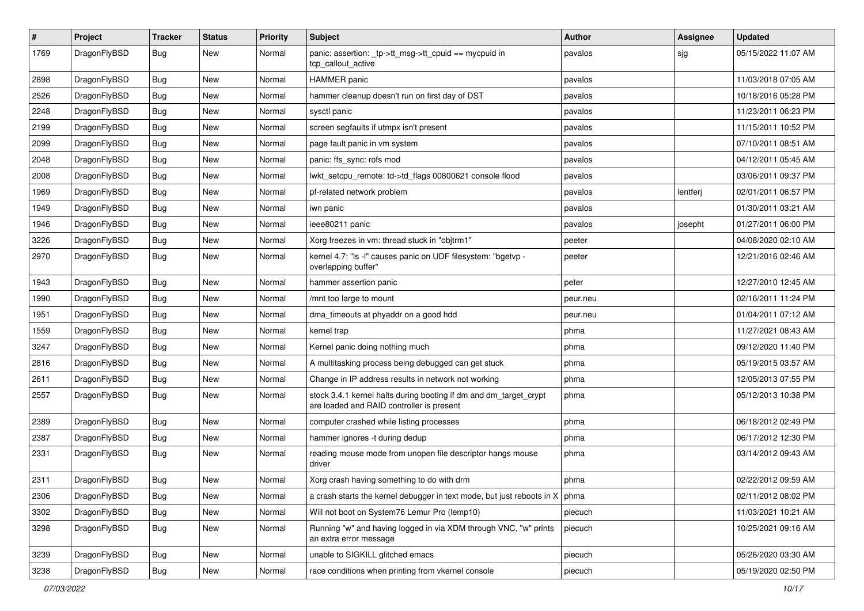| $\sharp$ | Project      | <b>Tracker</b> | <b>Status</b> | <b>Priority</b> | Subject                                                                                                        | <b>Author</b> | Assignee | <b>Updated</b>      |
|----------|--------------|----------------|---------------|-----------------|----------------------------------------------------------------------------------------------------------------|---------------|----------|---------------------|
| 1769     | DragonFlyBSD | <b>Bug</b>     | New           | Normal          | panic: assertion: _tp->tt_msg->tt_cpuid == mycpuid in<br>tcp_callout_active                                    | pavalos       | sjg      | 05/15/2022 11:07 AM |
| 2898     | DragonFlyBSD | <b>Bug</b>     | New           | Normal          | <b>HAMMER</b> panic                                                                                            | pavalos       |          | 11/03/2018 07:05 AM |
| 2526     | DragonFlyBSD | <b>Bug</b>     | New           | Normal          | hammer cleanup doesn't run on first day of DST                                                                 | pavalos       |          | 10/18/2016 05:28 PM |
| 2248     | DragonFlyBSD | <b>Bug</b>     | New           | Normal          | sysctl panic                                                                                                   | pavalos       |          | 11/23/2011 06:23 PM |
| 2199     | DragonFlyBSD | <b>Bug</b>     | New           | Normal          | screen segfaults if utmpx isn't present                                                                        | pavalos       |          | 11/15/2011 10:52 PM |
| 2099     | DragonFlyBSD | <b>Bug</b>     | New           | Normal          | page fault panic in vm system                                                                                  | pavalos       |          | 07/10/2011 08:51 AM |
| 2048     | DragonFlyBSD | <b>Bug</b>     | <b>New</b>    | Normal          | panic: ffs_sync: rofs mod                                                                                      | pavalos       |          | 04/12/2011 05:45 AM |
| 2008     | DragonFlyBSD | <b>Bug</b>     | New           | Normal          | lwkt_setcpu_remote: td->td_flags 00800621 console flood                                                        | pavalos       |          | 03/06/2011 09:37 PM |
| 1969     | DragonFlyBSD | <b>Bug</b>     | <b>New</b>    | Normal          | pf-related network problem                                                                                     | pavalos       | lentferj | 02/01/2011 06:57 PM |
| 1949     | DragonFlyBSD | <b>Bug</b>     | New           | Normal          | iwn panic                                                                                                      | pavalos       |          | 01/30/2011 03:21 AM |
| 1946     | DragonFlyBSD | <b>Bug</b>     | New           | Normal          | ieee80211 panic                                                                                                | pavalos       | josepht  | 01/27/2011 06:00 PM |
| 3226     | DragonFlyBSD | <b>Bug</b>     | New           | Normal          | Xorg freezes in vm: thread stuck in "objtrm1"                                                                  | peeter        |          | 04/08/2020 02:10 AM |
| 2970     | DragonFlyBSD | <b>Bug</b>     | <b>New</b>    | Normal          | kernel 4.7: "Is -l" causes panic on UDF filesystem: "bgetvp -<br>overlapping buffer"                           | peeter        |          | 12/21/2016 02:46 AM |
| 1943     | DragonFlyBSD | <b>Bug</b>     | New           | Normal          | hammer assertion panic                                                                                         | peter         |          | 12/27/2010 12:45 AM |
| 1990     | DragonFlyBSD | <b>Bug</b>     | New           | Normal          | /mnt too large to mount                                                                                        | peur.neu      |          | 02/16/2011 11:24 PM |
| 1951     | DragonFlyBSD | <b>Bug</b>     | <b>New</b>    | Normal          | dma_timeouts at phyaddr on a good hdd                                                                          | peur.neu      |          | 01/04/2011 07:12 AM |
| 1559     | DragonFlyBSD | <b>Bug</b>     | New           | Normal          | kernel trap                                                                                                    | phma          |          | 11/27/2021 08:43 AM |
| 3247     | DragonFlyBSD | <b>Bug</b>     | <b>New</b>    | Normal          | Kernel panic doing nothing much                                                                                | phma          |          | 09/12/2020 11:40 PM |
| 2816     | DragonFlyBSD | <b>Bug</b>     | New           | Normal          | A multitasking process being debugged can get stuck                                                            | phma          |          | 05/19/2015 03:57 AM |
| 2611     | DragonFlyBSD | <b>Bug</b>     | New           | Normal          | Change in IP address results in network not working                                                            | phma          |          | 12/05/2013 07:55 PM |
| 2557     | DragonFlyBSD | <b>Bug</b>     | New           | Normal          | stock 3.4.1 kernel halts during booting if dm and dm_target_crypt<br>are loaded and RAID controller is present | phma          |          | 05/12/2013 10:38 PM |
| 2389     | DragonFlyBSD | <b>Bug</b>     | New           | Normal          | computer crashed while listing processes                                                                       | phma          |          | 06/18/2012 02:49 PM |
| 2387     | DragonFlyBSD | <b>Bug</b>     | New           | Normal          | hammer ignores -t during dedup                                                                                 | phma          |          | 06/17/2012 12:30 PM |
| 2331     | DragonFlyBSD | <b>Bug</b>     | New           | Normal          | reading mouse mode from unopen file descriptor hangs mouse<br>driver                                           | phma          |          | 03/14/2012 09:43 AM |
| 2311     | DragonFlyBSD | Bug            | New           | Normal          | Xorg crash having something to do with drm                                                                     | phma          |          | 02/22/2012 09:59 AM |
| 2306     | DragonFlyBSD | <b>Bug</b>     | New           | Normal          | a crash starts the kernel debugger in text mode, but just reboots in $X \mid p$ hma                            |               |          | 02/11/2012 08:02 PM |
| 3302     | DragonFlyBSD | <b>Bug</b>     | <b>New</b>    | Normal          | Will not boot on System76 Lemur Pro (lemp10)                                                                   | piecuch       |          | 11/03/2021 10:21 AM |
| 3298     | DragonFlyBSD | <b>Bug</b>     | New           | Normal          | Running "w" and having logged in via XDM through VNC, "w" prints<br>an extra error message                     | piecuch       |          | 10/25/2021 09:16 AM |
| 3239     | DragonFlyBSD | Bug            | <b>New</b>    | Normal          | unable to SIGKILL glitched emacs                                                                               | piecuch       |          | 05/26/2020 03:30 AM |
| 3238     | DragonFlyBSD | Bug            | New           | Normal          | race conditions when printing from vkernel console                                                             | piecuch       |          | 05/19/2020 02:50 PM |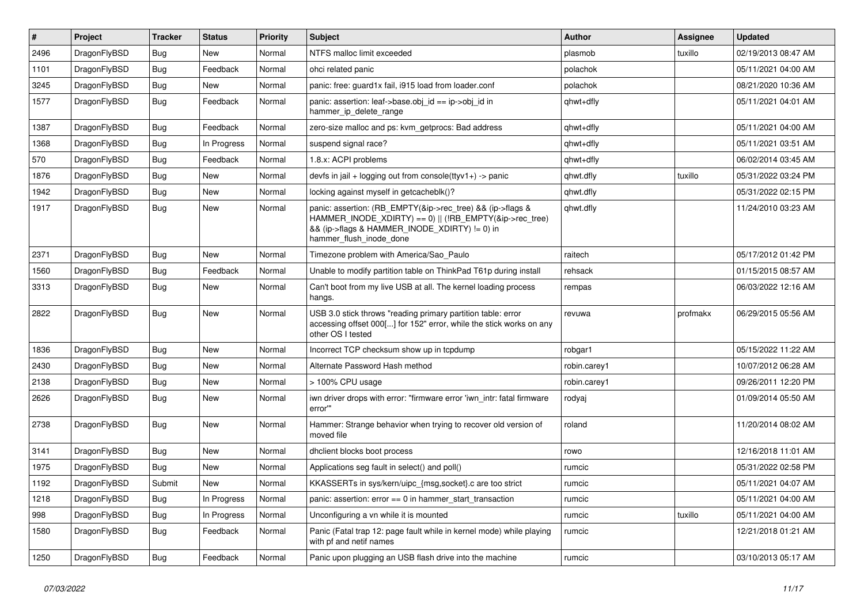| $\#$ | Project      | <b>Tracker</b> | <b>Status</b> | <b>Priority</b> | <b>Subject</b>                                                                                                                                                                                    | <b>Author</b> | Assignee | <b>Updated</b>      |
|------|--------------|----------------|---------------|-----------------|---------------------------------------------------------------------------------------------------------------------------------------------------------------------------------------------------|---------------|----------|---------------------|
| 2496 | DragonFlyBSD | <b>Bug</b>     | <b>New</b>    | Normal          | NTFS malloc limit exceeded                                                                                                                                                                        | plasmob       | tuxillo  | 02/19/2013 08:47 AM |
| 1101 | DragonFlyBSD | <b>Bug</b>     | Feedback      | Normal          | ohci related panic                                                                                                                                                                                | polachok      |          | 05/11/2021 04:00 AM |
| 3245 | DragonFlyBSD | <b>Bug</b>     | New           | Normal          | panic: free: guard1x fail, i915 load from loader.conf                                                                                                                                             | polachok      |          | 08/21/2020 10:36 AM |
| 1577 | DragonFlyBSD | Bug            | Feedback      | Normal          | panic: assertion: leaf->base.obj_id == ip->obj_id in<br>hammer_ip_delete_range                                                                                                                    | qhwt+dfly     |          | 05/11/2021 04:01 AM |
| 1387 | DragonFlyBSD | <b>Bug</b>     | Feedback      | Normal          | zero-size malloc and ps: kvm getprocs: Bad address                                                                                                                                                | qhwt+dfly     |          | 05/11/2021 04:00 AM |
| 1368 | DragonFlyBSD | <b>Bug</b>     | In Progress   | Normal          | suspend signal race?                                                                                                                                                                              | qhwt+dfly     |          | 05/11/2021 03:51 AM |
| 570  | DragonFlyBSD | Bug            | Feedback      | Normal          | 1.8.x: ACPI problems                                                                                                                                                                              | qhwt+dfly     |          | 06/02/2014 03:45 AM |
| 1876 | DragonFlyBSD | Bug            | <b>New</b>    | Normal          | devfs in jail + logging out from console(ttyv1+) -> panic                                                                                                                                         | qhwt.dfly     | tuxillo  | 05/31/2022 03:24 PM |
| 1942 | DragonFlyBSD | <b>Bug</b>     | New           | Normal          | locking against myself in getcacheblk()?                                                                                                                                                          | qhwt.dfly     |          | 05/31/2022 02:15 PM |
| 1917 | DragonFlyBSD | <b>Bug</b>     | New           | Normal          | panic: assertion: (RB_EMPTY(&ip->rec_tree) && (ip->flags &<br>HAMMER_INODE_XDIRTY) == 0)    (!RB_EMPTY(&ip->rec_tree)<br>&& (ip->flags & HAMMER_INODE_XDIRTY) != 0) in<br>hammer_flush_inode_done | qhwt.dfly     |          | 11/24/2010 03:23 AM |
| 2371 | DragonFlyBSD | <b>Bug</b>     | New           | Normal          | Timezone problem with America/Sao Paulo                                                                                                                                                           | raitech       |          | 05/17/2012 01:42 PM |
| 1560 | DragonFlyBSD | Bug            | Feedback      | Normal          | Unable to modify partition table on ThinkPad T61p during install                                                                                                                                  | rehsack       |          | 01/15/2015 08:57 AM |
| 3313 | DragonFlyBSD | <b>Bug</b>     | New           | Normal          | Can't boot from my live USB at all. The kernel loading process<br>hangs.                                                                                                                          | rempas        |          | 06/03/2022 12:16 AM |
| 2822 | DragonFlyBSD | Bug            | New           | Normal          | USB 3.0 stick throws "reading primary partition table: error<br>accessing offset 000[] for 152" error, while the stick works on any<br>other OS I tested                                          | revuwa        | profmakx | 06/29/2015 05:56 AM |
| 1836 | DragonFlyBSD | <b>Bug</b>     | New           | Normal          | Incorrect TCP checksum show up in tcpdump                                                                                                                                                         | robgar1       |          | 05/15/2022 11:22 AM |
| 2430 | DragonFlyBSD | Bug            | New           | Normal          | Alternate Password Hash method                                                                                                                                                                    | robin.carey1  |          | 10/07/2012 06:28 AM |
| 2138 | DragonFlyBSD | <b>Bug</b>     | New           | Normal          | > 100% CPU usage                                                                                                                                                                                  | robin.carey1  |          | 09/26/2011 12:20 PM |
| 2626 | DragonFlyBSD | <b>Bug</b>     | New           | Normal          | iwn driver drops with error: "firmware error 'iwn intr: fatal firmware<br>error"                                                                                                                  | rodyaj        |          | 01/09/2014 05:50 AM |
| 2738 | DragonFlyBSD | Bug            | New           | Normal          | Hammer: Strange behavior when trying to recover old version of<br>moved file                                                                                                                      | roland        |          | 11/20/2014 08:02 AM |
| 3141 | DragonFlyBSD | <b>Bug</b>     | New           | Normal          | dhclient blocks boot process                                                                                                                                                                      | rowo          |          | 12/16/2018 11:01 AM |
| 1975 | DragonFlyBSD | Bug            | New           | Normal          | Applications seg fault in select() and poll()                                                                                                                                                     | rumcic        |          | 05/31/2022 02:58 PM |
| 1192 | DragonFlyBSD | Submit         | New           | Normal          | KKASSERTs in sys/kern/uipc {msg,socket} c are too strict                                                                                                                                          | rumcic        |          | 05/11/2021 04:07 AM |
| 1218 | DragonFlyBSD | Bug            | In Progress   | Normal          | panic: assertion: $error == 0$ in hammer start transaction                                                                                                                                        | rumcic        |          | 05/11/2021 04:00 AM |
| 998  | DragonFlyBSD | <b>Bug</b>     | In Progress   | Normal          | Unconfiguring a vn while it is mounted                                                                                                                                                            | rumcic        | tuxillo  | 05/11/2021 04:00 AM |
| 1580 | DragonFlyBSD | <b>Bug</b>     | Feedback      | Normal          | Panic (Fatal trap 12: page fault while in kernel mode) while playing<br>with pf and netif names                                                                                                   | rumcic        |          | 12/21/2018 01:21 AM |
| 1250 | DragonFlyBSD | <b>Bug</b>     | Feedback      | Normal          | Panic upon plugging an USB flash drive into the machine                                                                                                                                           | rumcic        |          | 03/10/2013 05:17 AM |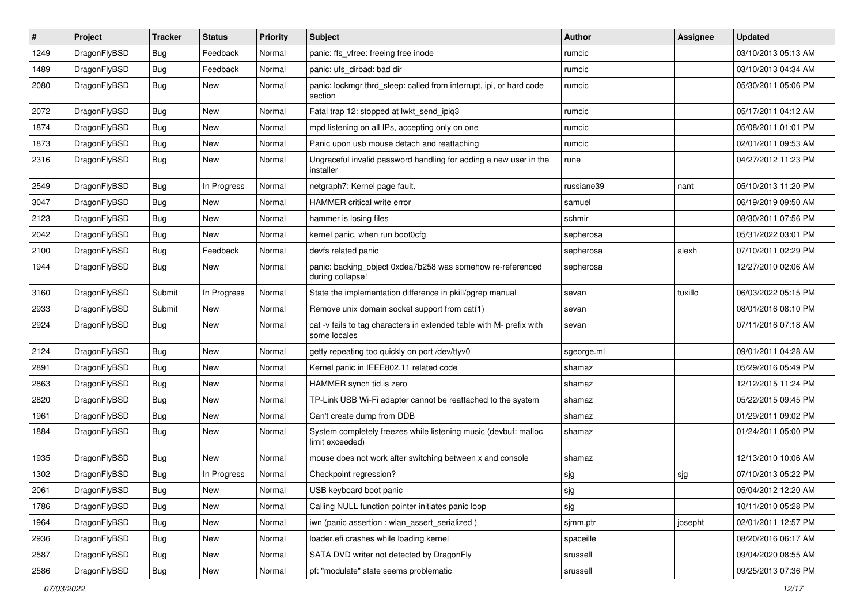| #    | Project      | <b>Tracker</b> | <b>Status</b> | <b>Priority</b> | Subject                                                                              | <b>Author</b> | Assignee | <b>Updated</b>      |
|------|--------------|----------------|---------------|-----------------|--------------------------------------------------------------------------------------|---------------|----------|---------------------|
| 1249 | DragonFlyBSD | Bug            | Feedback      | Normal          | panic: ffs_vfree: freeing free inode                                                 | rumcic        |          | 03/10/2013 05:13 AM |
| 1489 | DragonFlyBSD | Bug            | Feedback      | Normal          | panic: ufs dirbad: bad dir                                                           | rumcic        |          | 03/10/2013 04:34 AM |
| 2080 | DragonFlyBSD | <b>Bug</b>     | New           | Normal          | panic: lockmgr thrd_sleep: called from interrupt, ipi, or hard code<br>section       | rumcic        |          | 05/30/2011 05:06 PM |
| 2072 | DragonFlyBSD | Bug            | <b>New</b>    | Normal          | Fatal trap 12: stopped at lwkt_send_ipiq3                                            | rumcic        |          | 05/17/2011 04:12 AM |
| 1874 | DragonFlyBSD | Bug            | New           | Normal          | mpd listening on all IPs, accepting only on one                                      | rumcic        |          | 05/08/2011 01:01 PM |
| 1873 | DragonFlyBSD | Bug            | New           | Normal          | Panic upon usb mouse detach and reattaching                                          | rumcic        |          | 02/01/2011 09:53 AM |
| 2316 | DragonFlyBSD | Bug            | <b>New</b>    | Normal          | Ungraceful invalid password handling for adding a new user in the<br>installer       | rune          |          | 04/27/2012 11:23 PM |
| 2549 | DragonFlyBSD | Bug            | In Progress   | Normal          | netgraph7: Kernel page fault.                                                        | russiane39    | nant     | 05/10/2013 11:20 PM |
| 3047 | DragonFlyBSD | Bug            | New           | Normal          | HAMMER critical write error                                                          | samuel        |          | 06/19/2019 09:50 AM |
| 2123 | DragonFlyBSD | Bug            | <b>New</b>    | Normal          | hammer is losing files                                                               | schmir        |          | 08/30/2011 07:56 PM |
| 2042 | DragonFlyBSD | Bug            | New           | Normal          | kernel panic, when run boot0cfg                                                      | sepherosa     |          | 05/31/2022 03:01 PM |
| 2100 | DragonFlyBSD | Bug            | Feedback      | Normal          | devfs related panic                                                                  | sepherosa     | alexh    | 07/10/2011 02:29 PM |
| 1944 | DragonFlyBSD | Bug            | New           | Normal          | panic: backing_object 0xdea7b258 was somehow re-referenced<br>during collapse!       | sepherosa     |          | 12/27/2010 02:06 AM |
| 3160 | DragonFlyBSD | Submit         | In Progress   | Normal          | State the implementation difference in pkill/pgrep manual                            | sevan         | tuxillo  | 06/03/2022 05:15 PM |
| 2933 | DragonFlyBSD | Submit         | New           | Normal          | Remove unix domain socket support from cat(1)                                        | sevan         |          | 08/01/2016 08:10 PM |
| 2924 | DragonFlyBSD | Bug            | New           | Normal          | cat -v fails to tag characters in extended table with M- prefix with<br>some locales | sevan         |          | 07/11/2016 07:18 AM |
| 2124 | DragonFlyBSD | Bug            | New           | Normal          | getty repeating too quickly on port /dev/ttyv0                                       | sgeorge.ml    |          | 09/01/2011 04:28 AM |
| 2891 | DragonFlyBSD | <b>Bug</b>     | New           | Normal          | Kernel panic in IEEE802.11 related code                                              | shamaz        |          | 05/29/2016 05:49 PM |
| 2863 | DragonFlyBSD | Bug            | New           | Normal          | HAMMER synch tid is zero                                                             | shamaz        |          | 12/12/2015 11:24 PM |
| 2820 | DragonFlyBSD | Bug            | <b>New</b>    | Normal          | TP-Link USB Wi-Fi adapter cannot be reattached to the system                         | shamaz        |          | 05/22/2015 09:45 PM |
| 1961 | DragonFlyBSD | Bug            | New           | Normal          | Can't create dump from DDB                                                           | shamaz        |          | 01/29/2011 09:02 PM |
| 1884 | DragonFlyBSD | Bug            | New           | Normal          | System completely freezes while listening music (devbuf: malloc<br>limit exceeded)   | shamaz        |          | 01/24/2011 05:00 PM |
| 1935 | DragonFlyBSD | Bug            | New           | Normal          | mouse does not work after switching between x and console                            | shamaz        |          | 12/13/2010 10:06 AM |
| 1302 | DragonFlyBSD | Bug            | In Progress   | Normal          | Checkpoint regression?                                                               | sjg           | sjg      | 07/10/2013 05:22 PM |
| 2061 | DragonFlyBSD | <b>Bug</b>     | I New         | Normal          | USB keyboard boot panic                                                              | sjg           |          | 05/04/2012 12:20 AM |
| 1786 | DragonFlyBSD | <b>Bug</b>     | New           | Normal          | Calling NULL function pointer initiates panic loop                                   | sjg           |          | 10/11/2010 05:28 PM |
| 1964 | DragonFlyBSD | <b>Bug</b>     | New           | Normal          | iwn (panic assertion : wlan_assert_serialized)                                       | sjmm.ptr      | josepht  | 02/01/2011 12:57 PM |
| 2936 | DragonFlyBSD | <b>Bug</b>     | New           | Normal          | loader.efi crashes while loading kernel                                              | spaceille     |          | 08/20/2016 06:17 AM |
| 2587 | DragonFlyBSD | <b>Bug</b>     | <b>New</b>    | Normal          | SATA DVD writer not detected by DragonFly                                            | srussell      |          | 09/04/2020 08:55 AM |
| 2586 | DragonFlyBSD | <b>Bug</b>     | New           | Normal          | pf: "modulate" state seems problematic                                               | srussell      |          | 09/25/2013 07:36 PM |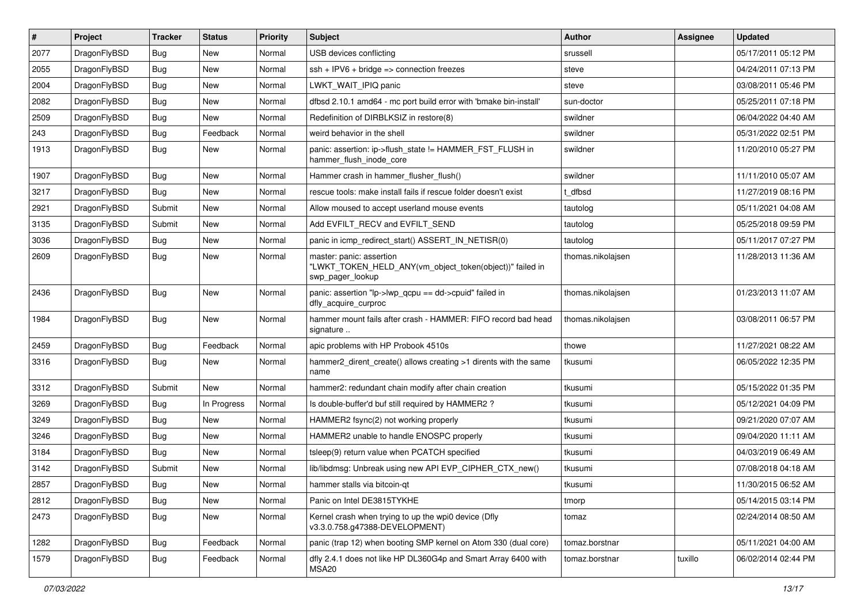| $\sharp$ | Project      | <b>Tracker</b> | <b>Status</b> | <b>Priority</b> | Subject                                                                                                  | <b>Author</b>     | Assignee | <b>Updated</b>      |
|----------|--------------|----------------|---------------|-----------------|----------------------------------------------------------------------------------------------------------|-------------------|----------|---------------------|
| 2077     | DragonFlyBSD | Bug            | New           | Normal          | USB devices conflicting                                                                                  | srussell          |          | 05/17/2011 05:12 PM |
| 2055     | DragonFlyBSD | Bug            | New           | Normal          | $ssh + IPV6 + bridge \Rightarrow connection freezes$                                                     | steve             |          | 04/24/2011 07:13 PM |
| 2004     | DragonFlyBSD | Bug            | New           | Normal          | LWKT WAIT IPIQ panic                                                                                     | steve             |          | 03/08/2011 05:46 PM |
| 2082     | DragonFlyBSD | <b>Bug</b>     | New           | Normal          | dfbsd 2.10.1 amd64 - mc port build error with 'bmake bin-install'                                        | sun-doctor        |          | 05/25/2011 07:18 PM |
| 2509     | DragonFlyBSD | Bug            | <b>New</b>    | Normal          | Redefinition of DIRBLKSIZ in restore(8)                                                                  | swildner          |          | 06/04/2022 04:40 AM |
| 243      | DragonFlyBSD | <b>Bug</b>     | Feedback      | Normal          | weird behavior in the shell                                                                              | swildner          |          | 05/31/2022 02:51 PM |
| 1913     | DragonFlyBSD | Bug            | New           | Normal          | panic: assertion: ip->flush_state != HAMMER_FST_FLUSH in<br>hammer_flush_inode_core                      | swildner          |          | 11/20/2010 05:27 PM |
| 1907     | DragonFlyBSD | Bug            | New           | Normal          | Hammer crash in hammer_flusher_flush()                                                                   | swildner          |          | 11/11/2010 05:07 AM |
| 3217     | DragonFlyBSD | Bug            | <b>New</b>    | Normal          | rescue tools: make install fails if rescue folder doesn't exist                                          | t dfbsd           |          | 11/27/2019 08:16 PM |
| 2921     | DragonFlyBSD | Submit         | New           | Normal          | Allow moused to accept userland mouse events                                                             | tautolog          |          | 05/11/2021 04:08 AM |
| 3135     | DragonFlyBSD | Submit         | New           | Normal          | Add EVFILT_RECV and EVFILT_SEND                                                                          | tautolog          |          | 05/25/2018 09:59 PM |
| 3036     | DragonFlyBSD | Bug            | New           | Normal          | panic in icmp redirect start() ASSERT IN NETISR(0)                                                       | tautolog          |          | 05/11/2017 07:27 PM |
| 2609     | DragonFlyBSD | <b>Bug</b>     | <b>New</b>    | Normal          | master: panic: assertion<br>"LWKT_TOKEN_HELD_ANY(vm_object_token(object))" failed in<br>swp pager lookup | thomas.nikolajsen |          | 11/28/2013 11:36 AM |
| 2436     | DragonFlyBSD | Bug            | New           | Normal          | panic: assertion "lp->lwp qcpu == dd->cpuid" failed in<br>dfly_acquire_curproc                           | thomas.nikolajsen |          | 01/23/2013 11:07 AM |
| 1984     | DragonFlyBSD | Bug            | <b>New</b>    | Normal          | hammer mount fails after crash - HAMMER: FIFO record bad head<br>signature                               | thomas.nikolajsen |          | 03/08/2011 06:57 PM |
| 2459     | DragonFlyBSD | Bug            | Feedback      | Normal          | apic problems with HP Probook 4510s                                                                      | thowe             |          | 11/27/2021 08:22 AM |
| 3316     | DragonFlyBSD | <b>Bug</b>     | New           | Normal          | hammer2 dirent create() allows creating >1 dirents with the same<br>name                                 | tkusumi           |          | 06/05/2022 12:35 PM |
| 3312     | DragonFlyBSD | Submit         | <b>New</b>    | Normal          | hammer2: redundant chain modify after chain creation                                                     | tkusumi           |          | 05/15/2022 01:35 PM |
| 3269     | DragonFlyBSD | <b>Bug</b>     | In Progress   | Normal          | Is double-buffer'd buf still required by HAMMER2 ?                                                       | tkusumi           |          | 05/12/2021 04:09 PM |
| 3249     | DragonFlyBSD | Bug            | New           | Normal          | HAMMER2 fsync(2) not working properly                                                                    | tkusumi           |          | 09/21/2020 07:07 AM |
| 3246     | DragonFlyBSD | <b>Bug</b>     | <b>New</b>    | Normal          | HAMMER2 unable to handle ENOSPC properly                                                                 | tkusumi           |          | 09/04/2020 11:11 AM |
| 3184     | DragonFlyBSD | <b>Bug</b>     | New           | Normal          | tsleep(9) return value when PCATCH specified                                                             | tkusumi           |          | 04/03/2019 06:49 AM |
| 3142     | DragonFlyBSD | Submit         | <b>New</b>    | Normal          | lib/libdmsg: Unbreak using new API EVP CIPHER CTX new()                                                  | tkusumi           |          | 07/08/2018 04:18 AM |
| 2857     | DragonFlyBSD | Bug            | <b>New</b>    | Normal          | hammer stalls via bitcoin-qt                                                                             | tkusumi           |          | 11/30/2015 06:52 AM |
| 2812     | DragonFlyBSD | Bug            | New           | Normal          | Panic on Intel DE3815TYKHE                                                                               | tmorp             |          | 05/14/2015 03:14 PM |
| 2473     | DragonFlyBSD | <b>Bug</b>     | New           | Normal          | Kernel crash when trying to up the wpi0 device (Dfly<br>v3.3.0.758.g47388-DEVELOPMENT)                   | tomaz             |          | 02/24/2014 08:50 AM |
| 1282     | DragonFlyBSD | <b>Bug</b>     | Feedback      | Normal          | panic (trap 12) when booting SMP kernel on Atom 330 (dual core)                                          | tomaz.borstnar    |          | 05/11/2021 04:00 AM |
| 1579     | DragonFlyBSD | <b>Bug</b>     | Feedback      | Normal          | dfly 2.4.1 does not like HP DL360G4p and Smart Array 6400 with<br>MSA20                                  | tomaz.borstnar    | tuxillo  | 06/02/2014 02:44 PM |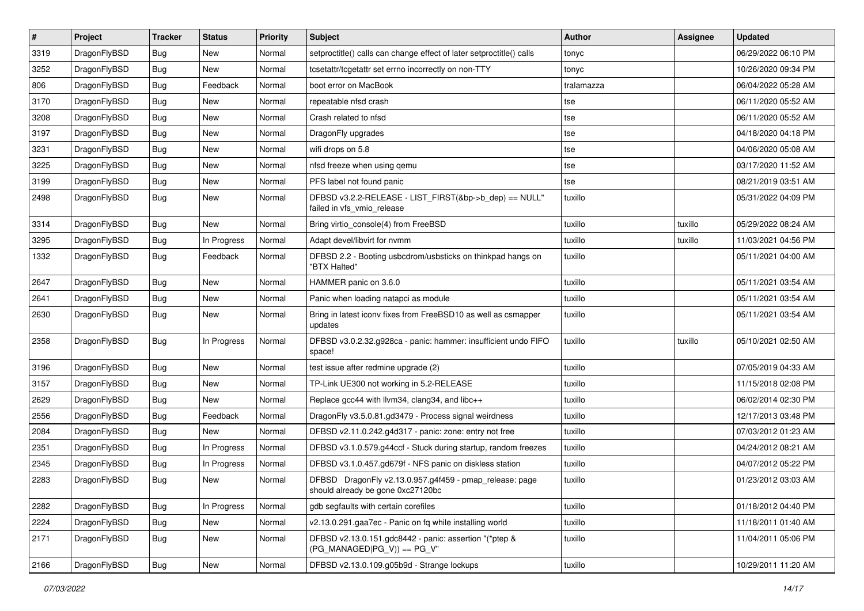| $\vert$ # | Project      | <b>Tracker</b> | <b>Status</b> | <b>Priority</b> | Subject                                                                                      | Author     | Assignee | <b>Updated</b>      |
|-----------|--------------|----------------|---------------|-----------------|----------------------------------------------------------------------------------------------|------------|----------|---------------------|
| 3319      | DragonFlyBSD | <b>Bug</b>     | New           | Normal          | setproctitle() calls can change effect of later setproctitle() calls                         | tonyc      |          | 06/29/2022 06:10 PM |
| 3252      | DragonFlyBSD | Bug            | <b>New</b>    | Normal          | tcsetattr/tcgetattr set errno incorrectly on non-TTY                                         | tonyc      |          | 10/26/2020 09:34 PM |
| 806       | DragonFlyBSD | Bug            | Feedback      | Normal          | boot error on MacBook                                                                        | tralamazza |          | 06/04/2022 05:28 AM |
| 3170      | DragonFlyBSD | Bug            | New           | Normal          | repeatable nfsd crash                                                                        | tse        |          | 06/11/2020 05:52 AM |
| 3208      | DragonFlyBSD | <b>Bug</b>     | <b>New</b>    | Normal          | Crash related to nfsd                                                                        | tse        |          | 06/11/2020 05:52 AM |
| 3197      | DragonFlyBSD | <b>Bug</b>     | New           | Normal          | DragonFly upgrades                                                                           | tse        |          | 04/18/2020 04:18 PM |
| 3231      | DragonFlyBSD | <b>Bug</b>     | New           | Normal          | wifi drops on 5.8                                                                            | tse        |          | 04/06/2020 05:08 AM |
| 3225      | DragonFlyBSD | Bug            | <b>New</b>    | Normal          | nfsd freeze when using gemu                                                                  | tse        |          | 03/17/2020 11:52 AM |
| 3199      | DragonFlyBSD | Bug            | New           | Normal          | PFS label not found panic                                                                    | tse        |          | 08/21/2019 03:51 AM |
| 2498      | DragonFlyBSD | Bug            | <b>New</b>    | Normal          | DFBSD v3.2.2-RELEASE - LIST_FIRST(&bp->b_dep) == NULL"<br>failed in vfs_vmio_release         | tuxillo    |          | 05/31/2022 04:09 PM |
| 3314      | DragonFlyBSD | Bug            | New           | Normal          | Bring virtio_console(4) from FreeBSD                                                         | tuxillo    | tuxillo  | 05/29/2022 08:24 AM |
| 3295      | DragonFlyBSD | <b>Bug</b>     | In Progress   | Normal          | Adapt devel/libvirt for nvmm                                                                 | tuxillo    | tuxillo  | 11/03/2021 04:56 PM |
| 1332      | DragonFlyBSD | Bug            | Feedback      | Normal          | DFBSD 2.2 - Booting usbcdrom/usbsticks on thinkpad hangs on<br>"BTX Halted"                  | tuxillo    |          | 05/11/2021 04:00 AM |
| 2647      | DragonFlyBSD | <b>Bug</b>     | <b>New</b>    | Normal          | HAMMER panic on 3.6.0                                                                        | tuxillo    |          | 05/11/2021 03:54 AM |
| 2641      | DragonFlyBSD | <b>Bug</b>     | New           | Normal          | Panic when loading natapci as module                                                         | tuxillo    |          | 05/11/2021 03:54 AM |
| 2630      | DragonFlyBSD | Bug            | <b>New</b>    | Normal          | Bring in latest iconv fixes from FreeBSD10 as well as csmapper<br>updates                    | tuxillo    |          | 05/11/2021 03:54 AM |
| 2358      | DragonFlyBSD | Bug            | In Progress   | Normal          | DFBSD v3.0.2.32.g928ca - panic: hammer: insufficient undo FIFO<br>space!                     | tuxillo    | tuxillo  | 05/10/2021 02:50 AM |
| 3196      | DragonFlyBSD | <b>Bug</b>     | <b>New</b>    | Normal          | test issue after redmine upgrade (2)                                                         | tuxillo    |          | 07/05/2019 04:33 AM |
| 3157      | DragonFlyBSD | Bug            | New           | Normal          | TP-Link UE300 not working in 5.2-RELEASE                                                     | tuxillo    |          | 11/15/2018 02:08 PM |
| 2629      | DragonFlyBSD | <b>Bug</b>     | <b>New</b>    | Normal          | Replace gcc44 with llvm34, clang34, and libc++                                               | tuxillo    |          | 06/02/2014 02:30 PM |
| 2556      | DragonFlyBSD | Bug            | Feedback      | Normal          | DragonFly v3.5.0.81.gd3479 - Process signal weirdness                                        | tuxillo    |          | 12/17/2013 03:48 PM |
| 2084      | DragonFlyBSD | <b>Bug</b>     | New           | Normal          | DFBSD v2.11.0.242.g4d317 - panic: zone: entry not free                                       | tuxillo    |          | 07/03/2012 01:23 AM |
| 2351      | DragonFlyBSD | Bug            | In Progress   | Normal          | DFBSD v3.1.0.579.g44ccf - Stuck during startup, random freezes                               | tuxillo    |          | 04/24/2012 08:21 AM |
| 2345      | DragonFlyBSD | Bug            | In Progress   | Normal          | DFBSD v3.1.0.457.gd679f - NFS panic on diskless station                                      | tuxillo    |          | 04/07/2012 05:22 PM |
| 2283      | DragonFlyBSD | <b>Bug</b>     | <b>New</b>    | Normal          | DFBSD DragonFly v2.13.0.957.g4f459 - pmap_release: page<br>should already be gone 0xc2/120bc | tuxillo    |          | 01/23/2012 03:03 AM |
| 2282      | DragonFlyBSD | <b>Bug</b>     | In Progress   | Normal          | gdb segfaults with certain corefiles                                                         | tuxillo    |          | 01/18/2012 04:40 PM |
| 2224      | DragonFlyBSD | <b>Bug</b>     | <b>New</b>    | Normal          | v2.13.0.291.gaa7ec - Panic on fq while installing world                                      | tuxillo    |          | 11/18/2011 01:40 AM |
| 2171      | DragonFlyBSD | Bug            | <b>New</b>    | Normal          | DFBSD v2.13.0.151.gdc8442 - panic: assertion "(*ptep &<br>$(PG$ MANAGED PG V)) == PG V"      | tuxillo    |          | 11/04/2011 05:06 PM |
| 2166      | DragonFlyBSD | <b>Bug</b>     | New           | Normal          | DFBSD v2.13.0.109.g05b9d - Strange lockups                                                   | tuxillo    |          | 10/29/2011 11:20 AM |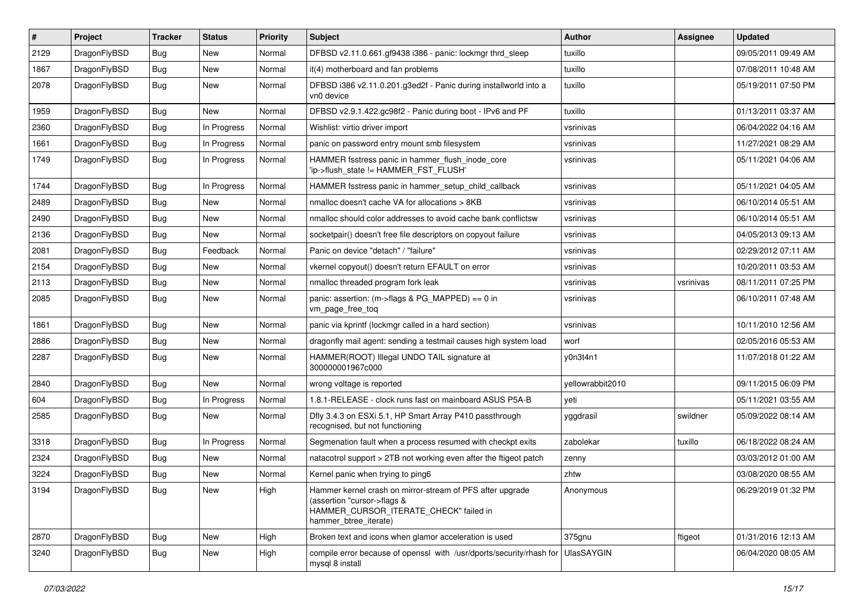| #    | Project      | <b>Tracker</b> | <b>Status</b> | <b>Priority</b> | Subject                                                                                                                                                     | <b>Author</b>    | Assignee  | <b>Updated</b>      |
|------|--------------|----------------|---------------|-----------------|-------------------------------------------------------------------------------------------------------------------------------------------------------------|------------------|-----------|---------------------|
| 2129 | DragonFlyBSD | <b>Bug</b>     | New           | Normal          | DFBSD v2.11.0.661.gf9438 i386 - panic: lockmgr thrd_sleep                                                                                                   | tuxillo          |           | 09/05/2011 09:49 AM |
| 1867 | DragonFlyBSD | Bug            | New           | Normal          | it(4) motherboard and fan problems                                                                                                                          | tuxillo          |           | 07/08/2011 10:48 AM |
| 2078 | DragonFlyBSD | <b>Bug</b>     | New           | Normal          | DFBSD i386 v2.11.0.201.g3ed2f - Panic during installworld into a<br>vn0 device                                                                              | tuxillo          |           | 05/19/2011 07:50 PM |
| 1959 | DragonFlyBSD | Bug            | <b>New</b>    | Normal          | DFBSD v2.9.1.422.gc98f2 - Panic during boot - IPv6 and PF                                                                                                   | tuxillo          |           | 01/13/2011 03:37 AM |
| 2360 | DragonFlyBSD | <b>Bug</b>     | In Progress   | Normal          | Wishlist: virtio driver import                                                                                                                              | vsrinivas        |           | 06/04/2022 04:16 AM |
| 1661 | DragonFlyBSD | <b>Bug</b>     | In Progress   | Normal          | panic on password entry mount smb filesystem                                                                                                                | vsrinivas        |           | 11/27/2021 08:29 AM |
| 1749 | DragonFlyBSD | Bug            | In Progress   | Normal          | HAMMER fsstress panic in hammer flush inode core<br>'ip->flush_state != HAMMER_FST_FLUSH'                                                                   | vsrinivas        |           | 05/11/2021 04:06 AM |
| 1744 | DragonFlyBSD | Bug            | In Progress   | Normal          | HAMMER fsstress panic in hammer_setup_child_callback                                                                                                        | vsrinivas        |           | 05/11/2021 04:05 AM |
| 2489 | DragonFlyBSD | <b>Bug</b>     | New           | Normal          | nmalloc doesn't cache VA for allocations > 8KB                                                                                                              | vsrinivas        |           | 06/10/2014 05:51 AM |
| 2490 | DragonFlyBSD | <b>Bug</b>     | New           | Normal          | nmalloc should color addresses to avoid cache bank conflictsw                                                                                               | vsrinivas        |           | 06/10/2014 05:51 AM |
| 2136 | DragonFlyBSD | <b>Bug</b>     | New           | Normal          | socketpair() doesn't free file descriptors on copyout failure                                                                                               | vsrinivas        |           | 04/05/2013 09:13 AM |
| 2081 | DragonFlyBSD | <b>Bug</b>     | Feedback      | Normal          | Panic on device "detach" / "failure"                                                                                                                        | vsrinivas        |           | 02/29/2012 07:11 AM |
| 2154 | DragonFlyBSD | <b>Bug</b>     | New           | Normal          | vkernel copyout() doesn't return EFAULT on error                                                                                                            | vsrinivas        |           | 10/20/2011 03:53 AM |
| 2113 | DragonFlyBSD | <b>Bug</b>     | New           | Normal          | nmalloc threaded program fork leak                                                                                                                          | vsrinivas        | vsrinivas | 08/11/2011 07:25 PM |
| 2085 | DragonFlyBSD | <b>Bug</b>     | New           | Normal          | panic: assertion: (m->flags & PG_MAPPED) == 0 in<br>vm_page_free_toq                                                                                        | vsrinivas        |           | 06/10/2011 07:48 AM |
| 1861 | DragonFlyBSD | <b>Bug</b>     | <b>New</b>    | Normal          | panic via kprintf (lockmgr called in a hard section)                                                                                                        | vsrinivas        |           | 10/11/2010 12:56 AM |
| 2886 | DragonFlyBSD | <b>Bug</b>     | New           | Normal          | dragonfly mail agent: sending a testmail causes high system load                                                                                            | worf             |           | 02/05/2016 05:53 AM |
| 2287 | DragonFlyBSD | <b>Bug</b>     | New           | Normal          | HAMMER(ROOT) Illegal UNDO TAIL signature at<br>300000001967c000                                                                                             | y0n3t4n1         |           | 11/07/2018 01:22 AM |
| 2840 | DragonFlyBSD | <b>Bug</b>     | <b>New</b>    | Normal          | wrong voltage is reported                                                                                                                                   | yellowrabbit2010 |           | 09/11/2015 06:09 PM |
| 604  | DragonFlyBSD | <b>Bug</b>     | In Progress   | Normal          | 1.8.1-RELEASE - clock runs fast on mainboard ASUS P5A-B                                                                                                     | yeti             |           | 05/11/2021 03:55 AM |
| 2585 | DragonFlyBSD | <b>Bug</b>     | New           | Normal          | Dfly 3.4.3 on ESXi 5.1, HP Smart Array P410 passthrough<br>recognised, but not functioning                                                                  | yggdrasil        | swildner  | 05/09/2022 08:14 AM |
| 3318 | DragonFlyBSD | <b>Bug</b>     | In Progress   | Normal          | Segmenation fault when a process resumed with checkpt exits                                                                                                 | zabolekar        | tuxillo   | 06/18/2022 08:24 AM |
| 2324 | DragonFlyBSD | <b>Bug</b>     | New           | Normal          | natacotrol support > 2TB not working even after the ftigeot patch                                                                                           | zenny            |           | 03/03/2012 01:00 AM |
| 3224 | DragonFlyBSD | <b>Bug</b>     | New           | Normal          | Kernel panic when trying to ping6                                                                                                                           | zhtw             |           | 03/08/2020 08:55 AM |
| 3194 | DragonFlyBSD | <b>Bug</b>     | New           | High            | Hammer kernel crash on mirror-stream of PFS after upgrade<br>(assertion "cursor->flags &<br>HAMMER CURSOR ITERATE CHECK" failed in<br>hammer btree iterate) | Anonymous        |           | 06/29/2019 01:32 PM |
| 2870 | DragonFlyBSD | <b>Bug</b>     | New           | High            | Broken text and icons when glamor acceleration is used                                                                                                      | 375gnu           | ftigeot   | 01/31/2016 12:13 AM |
| 3240 | DragonFlyBSD | Bug            | New           | High            | compile error because of openssl with /usr/dports/security/rhash for<br>mysql 8 install                                                                     | UlasSAYGIN       |           | 06/04/2020 08:05 AM |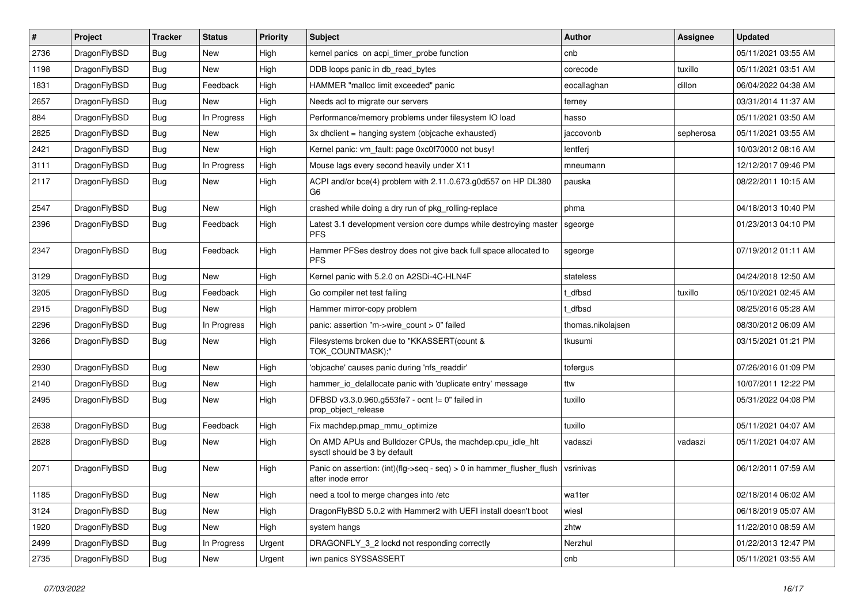| #    | Project      | <b>Tracker</b> | <b>Status</b> | <b>Priority</b> | Subject                                                                                    | <b>Author</b>     | Assignee  | <b>Updated</b>      |
|------|--------------|----------------|---------------|-----------------|--------------------------------------------------------------------------------------------|-------------------|-----------|---------------------|
| 2736 | DragonFlyBSD | <b>Bug</b>     | New           | High            | kernel panics on acpi timer probe function                                                 | cnb               |           | 05/11/2021 03:55 AM |
| 1198 | DragonFlyBSD | <b>Bug</b>     | <b>New</b>    | High            | DDB loops panic in db read bytes                                                           | corecode          | tuxillo   | 05/11/2021 03:51 AM |
| 1831 | DragonFlyBSD | Bug            | Feedback      | High            | HAMMER "malloc limit exceeded" panic                                                       | eocallaghan       | dillon    | 06/04/2022 04:38 AM |
| 2657 | DragonFlyBSD | <b>Bug</b>     | New           | High            | Needs acl to migrate our servers                                                           | ferney            |           | 03/31/2014 11:37 AM |
| 884  | DragonFlyBSD | <b>Bug</b>     | In Progress   | High            | Performance/memory problems under filesystem IO load                                       | hasso             |           | 05/11/2021 03:50 AM |
| 2825 | DragonFlyBSD | <b>Bug</b>     | New           | High            | 3x dhclient = hanging system (objcache exhausted)                                          | jaccovonb         | sepherosa | 05/11/2021 03:55 AM |
| 2421 | DragonFlyBSD | <b>Bug</b>     | New           | High            | Kernel panic: vm_fault: page 0xc0f70000 not busy!                                          | lentferj          |           | 10/03/2012 08:16 AM |
| 3111 | DragonFlyBSD | Bug            | In Progress   | High            | Mouse lags every second heavily under X11                                                  | mneumann          |           | 12/12/2017 09:46 PM |
| 2117 | DragonFlyBSD | <b>Bug</b>     | New           | High            | ACPI and/or bce(4) problem with 2.11.0.673.g0d557 on HP DL380<br>G6                        | pauska            |           | 08/22/2011 10:15 AM |
| 2547 | DragonFlyBSD | <b>Bug</b>     | <b>New</b>    | High            | crashed while doing a dry run of pkg rolling-replace                                       | phma              |           | 04/18/2013 10:40 PM |
| 2396 | DragonFlyBSD | <b>Bug</b>     | Feedback      | High            | Latest 3.1 development version core dumps while destroying master<br><b>PFS</b>            | sgeorge           |           | 01/23/2013 04:10 PM |
| 2347 | DragonFlyBSD | Bug            | Feedback      | High            | Hammer PFSes destroy does not give back full space allocated to<br><b>PFS</b>              | sgeorge           |           | 07/19/2012 01:11 AM |
| 3129 | DragonFlyBSD | <b>Bug</b>     | New           | High            | Kernel panic with 5.2.0 on A2SDi-4C-HLN4F                                                  | stateless         |           | 04/24/2018 12:50 AM |
| 3205 | DragonFlyBSD | <b>Bug</b>     | Feedback      | High            | Go compiler net test failing                                                               | t dfbsd           | tuxillo   | 05/10/2021 02:45 AM |
| 2915 | DragonFlyBSD | Bug            | New           | High            | Hammer mirror-copy problem                                                                 | t dfbsd           |           | 08/25/2016 05:28 AM |
| 2296 | DragonFlyBSD | <b>Bug</b>     | In Progress   | High            | panic: assertion "m->wire count > 0" failed                                                | thomas.nikolajsen |           | 08/30/2012 06:09 AM |
| 3266 | DragonFlyBSD | <b>Bug</b>     | New           | High            | Filesystems broken due to "KKASSERT(count &<br>TOK COUNTMASK);"                            | tkusumi           |           | 03/15/2021 01:21 PM |
| 2930 | DragonFlyBSD | Bug            | <b>New</b>    | High            | 'objcache' causes panic during 'nfs readdir'                                               | tofergus          |           | 07/26/2016 01:09 PM |
| 2140 | DragonFlyBSD | <b>Bug</b>     | New           | High            | hammer_io_delallocate panic with 'duplicate entry' message                                 | ttw               |           | 10/07/2011 12:22 PM |
| 2495 | DragonFlyBSD | <b>Bug</b>     | New           | High            | DFBSD v3.3.0.960.g553fe7 - ocnt != 0" failed in<br>prop_object_release                     | tuxillo           |           | 05/31/2022 04:08 PM |
| 2638 | DragonFlyBSD | Bug            | Feedback      | High            | Fix machdep.pmap mmu optimize                                                              | tuxillo           |           | 05/11/2021 04:07 AM |
| 2828 | DragonFlyBSD | <b>Bug</b>     | New           | High            | On AMD APUs and Bulldozer CPUs, the machdep.cpu_idle_hlt<br>sysctl should be 3 by default  | vadaszi           | vadaszi   | 05/11/2021 04:07 AM |
| 2071 | DragonFlyBSD | Bug            | <b>New</b>    | High            | Panic on assertion: (int)(flg->seq - seq) > 0 in hammer flusher flush<br>after inode error | vsrinivas         |           | 06/12/2011 07:59 AM |
| 1185 | DragonFlyBSD | <b>Bug</b>     | New           | High            | need a tool to merge changes into /etc                                                     | wa1ter            |           | 02/18/2014 06:02 AM |
| 3124 | DragonFlyBSD | <b>Bug</b>     | New           | High            | DragonFlyBSD 5.0.2 with Hammer2 with UEFI install doesn't boot                             | wiesl             |           | 06/18/2019 05:07 AM |
| 1920 | DragonFlyBSD | <b>Bug</b>     | New           | High            | system hangs                                                                               | zhtw              |           | 11/22/2010 08:59 AM |
| 2499 | DragonFlyBSD | <b>Bug</b>     | In Progress   | Urgent          | DRAGONFLY 3 2 lockd not responding correctly                                               | Nerzhul           |           | 01/22/2013 12:47 PM |
| 2735 | DragonFlyBSD | <b>Bug</b>     | New           | Urgent          | iwn panics SYSSASSERT                                                                      | cnb               |           | 05/11/2021 03:55 AM |